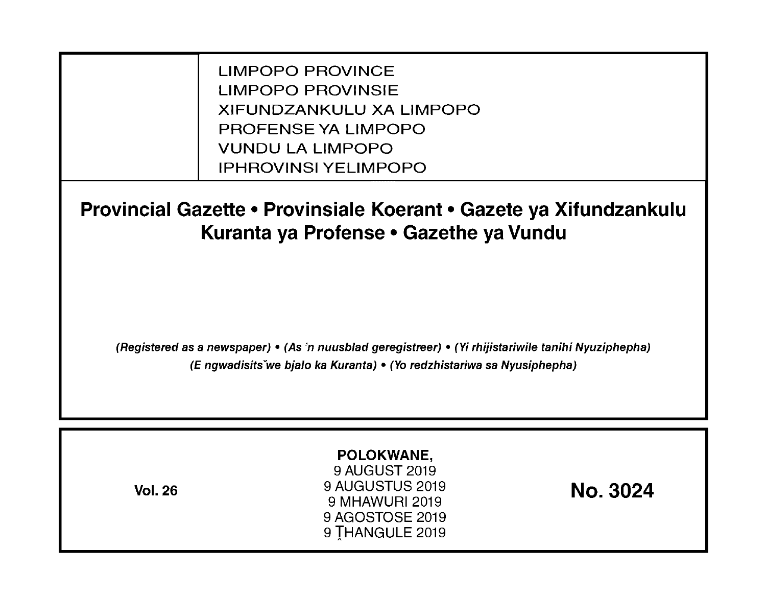LIMPOPO PROVINCE LIMPOPO PROVINSIE XIFUNDZANKULU XA LIMPOPO PROFENSE YA LIMPOPO VUNDU LA LIMPOPO IPHROVINSI YELIMPOPO

**Provincial Gazette • Provinsiale Koerant • Gazete ya Xifundzankulu Kuranta ya Profense • Gazethe ya Vundu** 

(Registered as a newspaper) • (As 'n nuusblad geregistreer) • (Yi rhijistariwile tanihi Nyuziphepha) (E ngwadisits we bjalo ka Kuranta) • (Yo redzhistariwa sa Nyusiphepha)

| <b>Vol. 26</b> | POLOKWANE,<br>9 AUGUST 2019<br>9 AUGUSTUS 2019<br>9 MHAWURI 2019<br>9 AGOSTOSE 2019<br>9 THANGULE 2019 | <b>No. 3024</b> |
|----------------|--------------------------------------------------------------------------------------------------------|-----------------|
|----------------|--------------------------------------------------------------------------------------------------------|-----------------|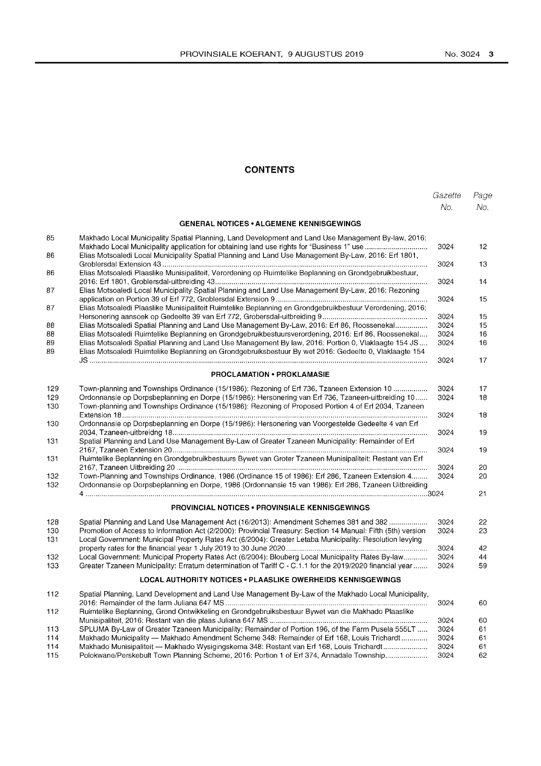#### **CONTENTS**

|            |                                                                                                                                                                                                                          | Gazette | Page            |
|------------|--------------------------------------------------------------------------------------------------------------------------------------------------------------------------------------------------------------------------|---------|-----------------|
|            |                                                                                                                                                                                                                          | No.     | No.             |
|            | <b>GENERAL NOTICES • ALGEMENE KENNISGEWINGS</b>                                                                                                                                                                          |         |                 |
| 85         | Makhado Local Municipality Spatial Planning, Land Development and Land Use Management By-law, 2016:                                                                                                                      |         |                 |
| 86         | Elias Motsoaledi Local Municipality Spatial Planning and Land Use Management By-Law, 2016: Erf 1801,                                                                                                                     | 3024    | 12 <sup>2</sup> |
|            |                                                                                                                                                                                                                          | 3024    | 13              |
| 86         | Elias Motsoaledi Plaaslike Munisipaliteit, Verordening op Ruimtelike Beplanning en Grondgebruikbestuur,                                                                                                                  | 3024    | 14              |
| 87         | Elias Motsoaledi Local Municipality Spatial Planning and Land Use Management By-Law, 2016: Rezoning                                                                                                                      |         |                 |
| 87         | Elias Motsoaledi Plaaslike Munisipaliteit Ruimtelike Beplanning en Grondgebruikbestuur Verordening, 2016:                                                                                                                | 3024    | 15              |
|            |                                                                                                                                                                                                                          | 3024    | 15              |
| 88         | Elias Motsoaledi Spatial Planning and Land Use Management By-Law, 2016: Erf 86, Roossenekal                                                                                                                              | 3024    | 15              |
| 88         | Elias Motsoaledi Ruimtelike Beplanning en Grondgebruikbestuursverordening, 2016: Erf 86, Roossenekal                                                                                                                     | 3024    | 16              |
| 89<br>89   | Elias Motsoaledi Spatial Planning and Land Use Management By law, 2016: Portion 0, Vlaklaagte 154 JS<br>Elias Motsoaledi Ruimtelike Beplanning en Grondgebruiksbestuur By wet 2016: Gedeelte 0, Vlaklaagte 154           | 3024    | 16              |
|            |                                                                                                                                                                                                                          | 3024    | 17              |
|            | <b>PROCLAMATION • PROKLAMASIE</b>                                                                                                                                                                                        |         |                 |
| 129        | Town-planning and Townships Ordinance (15/1986): Rezoning of Erf 736, Tzaneen Extension 10                                                                                                                               | 3024    | 17              |
| 129        | Ordonnansie op Dorpsbeplanning en Dorpe (15/1986): Hersonering van Erf 736, Tzaneen-uitbreiding 10                                                                                                                       | 3024    | 18              |
| 130        | Town-planning and Townships Ordinance (15/1986): Rezoning of Proposed Portion 4 of Erf 2034, Tzaneen                                                                                                                     |         |                 |
|            |                                                                                                                                                                                                                          | 3024    | 18              |
| 130        | Ordonnansie op Dorpsbeplanning en Dorpe (15/1986): Hersonering van Voorgestelde Gedeelte 4 van Erf                                                                                                                       | 3024    | 19              |
| 131        | Spatial Planning and Land Use Management By-Law of Greater Tzaneen Municipality: Remainder of Erf                                                                                                                        |         |                 |
|            |                                                                                                                                                                                                                          | 3024    | 19              |
| 131        | Ruimtelike Beplanning en Grondgebruikbestuurs Bywet van Groter Tzaneen Munisipaliteit: Restant van Erf                                                                                                                   | 3024    | 20              |
| 132        | Town-Planning and Townships Ordinance, 1986 (Ordinance 15 of 1986): Erf 286, Tzaneen Extension 4                                                                                                                         | 3024    | 20              |
| 132        | Ordonnansie op Dorpsbeplanning en Dorpe, 1986 (Ordonnansie 15 van 1986): Erf 286, Tzaneen Uitbreiding                                                                                                                    |         |                 |
|            |                                                                                                                                                                                                                          |         | 21              |
|            | <b>PROVINCIAL NOTICES • PROVINSIALE KENNISGEWINGS</b>                                                                                                                                                                    |         |                 |
| 128        | Spatial Planning and Land Use Management Act (16/2013): Amendment Schemes 381 and 382                                                                                                                                    | 3024    | 22              |
| 130<br>131 | Promotion of Access to Information Act (2/2000): Provincial Treasury: Section 14 Manual: Fifth (5th) version<br>Local Government: Municipal Property Rates Act (6/2004): Greater Letaba Municipality: Resolution levying | 3024    | 23              |
|            |                                                                                                                                                                                                                          | 3024    | 42              |
| 132        | Local Government: Municipal Property Rates Act (6/2004): Blouberg Local Municipality Rates By-law                                                                                                                        | 3024    | 44              |
| 133        | Greater Tzaneen Municipality: Erratum determination of Tariff C - C.1.1 for the 2019/2020 financial year                                                                                                                 | 3024    | 59              |
|            | <b>LOCAL AUTHORITY NOTICES • PLAASLIKE OWERHEIDS KENNISGEWINGS</b>                                                                                                                                                       |         |                 |
| 112        | Spatial Planning, Land Development and Land Use Management By-Law of the Makhado Local Municipality,                                                                                                                     |         |                 |
|            |                                                                                                                                                                                                                          | 3024    | 60              |
| 112        | Ruimtelike Beplanning, Grond Ontwikkeling en Grondgebruiksbestuur Bywet van die Makhado Plaaslike                                                                                                                        | 3024    | 60              |
| 113        | SPLUMA By-Law of Greater Tzaneen Municipality: Remainder of Portion 196, of the Farm Pusela 555LT                                                                                                                        | 3024    | 61              |
| 114        | Makhado Municipality — Makhado Amendment Scheme 348: Remainder of Erf 168, Louis Trichardt                                                                                                                               | 3024    | 61              |
| 114        | Makhado Munisipaliteit - Makhado Wysigingskema 348: Restant van Erf 168, Louis Trichardt                                                                                                                                 | 3024    | 61              |
| 115        | Polokwane/Perskebult Town Planning Scheme, 2016: Portion 1 of Erf 374, Annadale Township                                                                                                                                 | 3024    | 62              |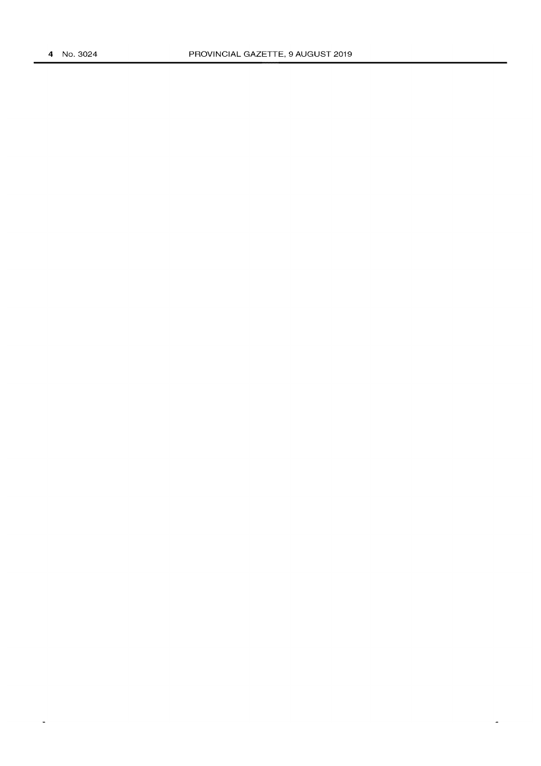$\Box$ 

 $\tilde{\phantom{a}}$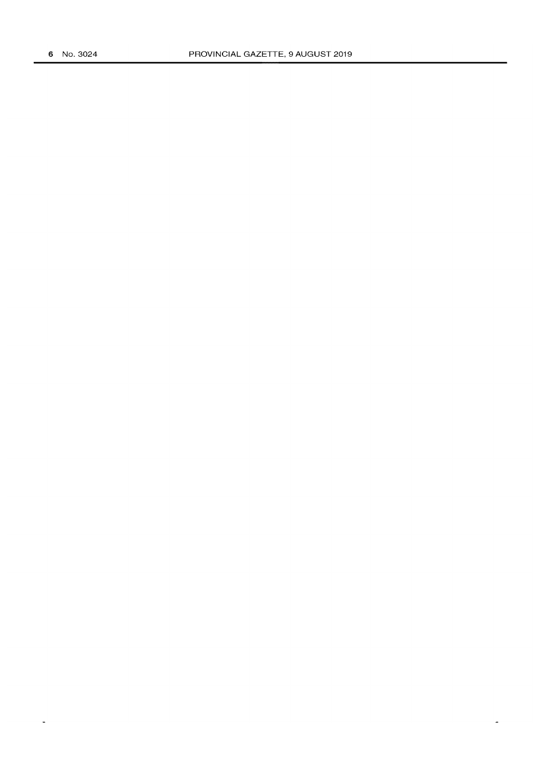$\Box$ 

 $\overline{\phantom{a}}$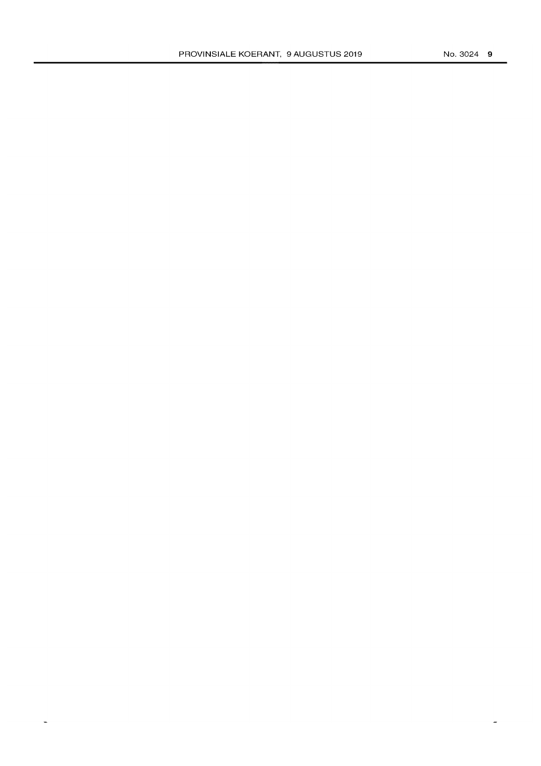$\overline{a}$ 

 $\overline{a}$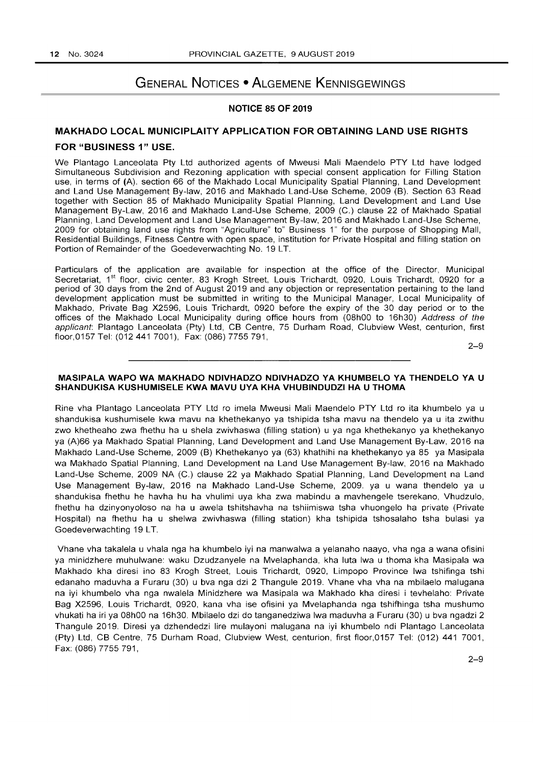### **GENERAL NOTICES • ALGEMENE KENNISGEWINGS**

#### **NOTICE 85 OF 2019**

#### **MAKHADO LOCAL MUNICIPLAITY APPLICATION FOR OBTAINING LAND USE RIGHTS**

#### **FOR "BUSINESS 1" USE.**

We Plantago Lanceolata Pty Ltd authorized agents of Mweusi Mali Maendelo PTY Ltd have lodged Simultaneous Subdivision and Rezoning application with special consent application for Filling Station use, in terms of (A). section 66 of the Makhado Local Municipality Spatial Planning, Land Development and Land Use Management By-law, 2016 and Makhado Land-Use Scheme, 2009 (B). Section 63 Read together with Section 85 of Makhado Municipality Spatial Planning, Land Development and Land Use Management By-Law, 2016 and Makhado Land-Use Scheme, 2009 (C.) clause 22 of Makhado Spatial Planning, Land Development and Land Use Management By-law, 2016 and Makhado Land-Use Scheme, 2009 for obtaining land use rights from "Agriculture" to" Business 1" for the purpose of Shopping Mall, Residential Buildings, Fitness Centre with open space, institution for Private Hospital and filling station on Portion of Remainder of the Goedeverwachting No. 19 LT.

Particulars of the application are available for inspection at the office of the Director, Municipal Secretariat, 1<sup>st</sup> floor, civic center, 83 Krogh Street, Louis Trichardt, 0920, Louis Trichardt, 0920 for a period of 30 days from the 2nd of August 2019 and any objection or representation pertaining to the land development application must be submitted in writing to the Municipal Manager, Local Municipality of Makhado, Private Bag X2596, Louis Trichardt, 0920 before the expiry of the 30 day period or to the offices of the Makhado Local Municipality during office hours from (08hOO to 16h30) Address of the applicant: Plantago Lanceolata (Pty) Ltd, CB Centre, 75 Durham Road, Clubview West, centurion, first floor,0157 Tel: (012441 7001), Fax: (086) 7755 791,

2-9

#### **MASIPALA WAPO WA MAKHADO NDIVHADZO NDIVHADZO YA KHUMBELO YA THENDELO YA U SHANDUKISA KUSHUMISELE KWA MAVU UYA KHA VHUBINDUDZI HA U THOMA**

Rine vha Plantago Lanceolata PTY Ltd ro imela Mweusi Mali Maendelo PTY Ltd ro ita khumbelo ya u shandukisa kushumisele kwa mavu na khethekanyo ya tshipida tsha mavu na thendelo ya u ita zwithu zwo khetheaho zwa fhethu ha u shela zwivhaswa (filling station) u ya nga khethekanyo ya khethekanyo ya (A)66 ya Makhado Spatial Planning, Land Development and Land Use Management By-Law, 2016 na Makhado Land-Use Scheme, 2009 (B) Khethekanyo ya (63) khathihi na khethekanyo ya 85 ya Masipala wa Makhado Spatial Planning, Land Development na Land Use Management By-law, 2016 na Makhado Land-Use Scheme, 2009 NA (C.) clause 22 ya Makhado Spatial Planning, Land Development na Land Use Management By-law, 2016 na Makhado Land-Use Scheme, 2009. ya u wana thendelo ya u shandukisa fhethu he havha hu ha vhulimi uya kha zwa mabindu a mavhengele tserekano, Vhudzulo, fhethu ha dzinyonyoloso na ha u awela tshitshavha na tshiimiswa tsha vhuongelo ha private (Private Hospital) na fhethu ha u shelwa zwivhaswa (filling station) kha tshipida tshosalaho tsha bulasi ya Goedeverwachting 19 LT.

Vhane vha takalela u vhala nga ha khumbelo iyi na manwalwa a yelanaho naayo, vha nga a wana ofisini ya minidzhere muhulwane: waku Dzudzanyele na Mvelaphanda, kha luta Iwa u thoma kha Masipala wa Makhado kha diresi ino 83 Krogh Street, Louis Trichardt, 0920, Limpopo Province Iwa tshifinga tshi edanaho maduvha a Furaru (30) u bva nga dzi 2 Thangule 2019. Vhane vha vha na mbilaelo malugana na iyi khumbelo vha nga nwalela Minidzhere wa Masipala wa Makhado kha diresi i tevhelaho: Private Bag X2596, Louis Trichardt, 0920, kana vha ise ofisini ya Mvelaphanda nga tshifhinga tsha mushumo vhukati ha iri ya 08hOO na 16h30. Mbilaelo dzi do tanganedziwa Iwa maduvha a Furaru (30) u bva ngadzi 2 Thangule 2019. Diresi ya dzhendedzi lire mulayoni malugana na iyi khumbelo ndi Plantago Lanceolata (Pty) Ltd, CB Centre, 75 Durham Road, Clubview West, centurion, first floor,0157 Tel: (012) 441 7001, Fax: (086) 7755 791,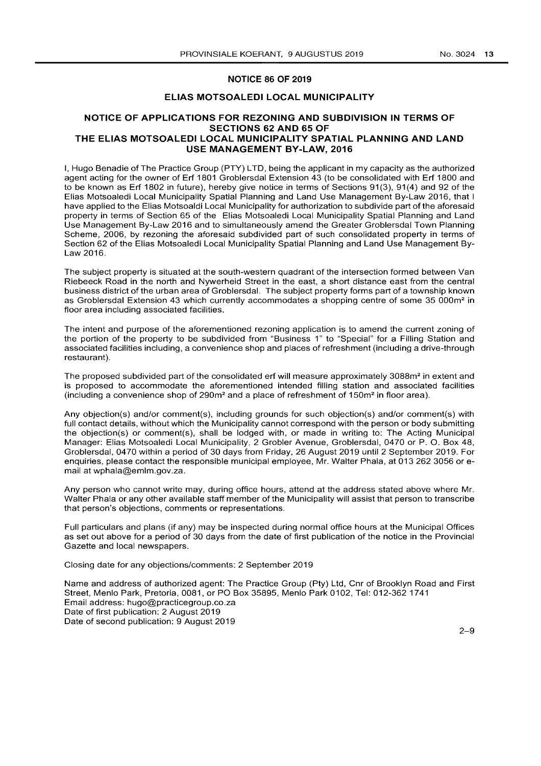#### **NOTICE 86 OF 2019**

#### **ELIAS MOTSOALEDI LOCAL MUNICIPALITY**

#### **NOTICE OF APPLICATIONS FOR REZONING AND SUBDIVISION IN TERMS OF SECTIONS 62 AND 65 OF THE ELIAS MOTSOALEDI LOCAL MUNICIPALITY SPATIAL PLANNING AND LAND USE MANAGEMENT BY-LAW, 2016**

I, Hugo Benadie of The Practice Group (PTY) LTD, being the applicant in my capacity as the authorized agent acting for the owner of Erf 1801 Groblersdal Extension 43 (to be consolidated with Erf 1800 and to be known as Erf 1802 in future), hereby give notice in terms of Sections 91(3),91(4) and 92 of the Elias Motsoaledi Local Municipality Spatial Planning and Land Use Management By-Law 2016, that I have applied to the Elias Motsoaldi Local Municipality for authorization to subdivide part of the aforesaid property in terms of Section 65 of the Elias Motsoaledi Local Municipality Spatial Planning and Land Use Management By-Law 2016 and to simultaneously amend the Greater Groblersdal Town Planning Scheme, 2006, by rezoning the aforesaid subdivided part of such consolidated property in terms of Section 62 of the Elias Motsoaledi Local Municipality Spatial Planning and Land Use Management By-Law 2016.

The subject property is situated at the south-western quadrant of the intersection formed between Van Riebeeck Road in the north and Nywerheid Street in the east, a short distance east from the central business district of the urban area of Groblersdal. The subject property forms part of a township known as Groblersdal Extension 43 which currently accommodates a shopping centre of some 35 000m<sup>2</sup> in floor area including associated facilities.

The intent and purpose of the aforementioned rezoning application is to amend the current zoning of the portion of the property to be subdivided from "Business 1" to "Special" for a Filling Station and associated facilities including, a convenience shop and places of refreshment (including a drive-through restaurant).

The proposed subdivided part of the consolidated erf will measure approximately 3088m<sup>2</sup> in extent and is proposed to accommodate the aforementioned intended filling station and associated facilities (including a convenience shop of  $290m^2$  and a place of refreshment of  $150m^2$  in floor area).

Any objection(s) and/or comment(s), including grounds for such objection(s) and/or comment(s) with full contact details, without which the Municipality cannot correspond with the person or body submitting the objection(s) or comment(s), shall be lodged with, or made in writing to: The Acting Municipal Manager: Elias Motsoaledi Local Municipality, 2 Grobler Avenue, Groblersdal, 0470 or P. O. Box 48, Groblersdal, 0470 within a period of 30 days from Friday, 26 August 2019 until 2 September 2019. For enquiries, please contact the responsible municipal employee, Mr. Walter Phala, at 013 262 3056 or email at wphala@emlm.gov.za.

Any person who cannot write may, during office hours, attend at the address stated above where Mr. Walter Phala or any other available staff member of the Municipality will assist that person to transcribe that person's objections, comments or representations.

Full particulars and plans (if any) may be inspected during normal office hours at the Municipal Offices as set out above for a period of 30 days from the date of first publication of the notice in the Provincial Gazette and local newspapers.

Closing date for any objections/comments: 2 September 2019

Name and address of authorized agent: The Practice Group (Pty) Ltd, Cnr of Brooklyn Road and First Street, Menlo Park, Pretoria, 0081, or PO Box 35895, Menlo Park 0102, Tel: 012-3621741 Email address: hugo@practicegroup.co.za Date of first publication: 2 August 2019 Date of second publication: 9 August 2019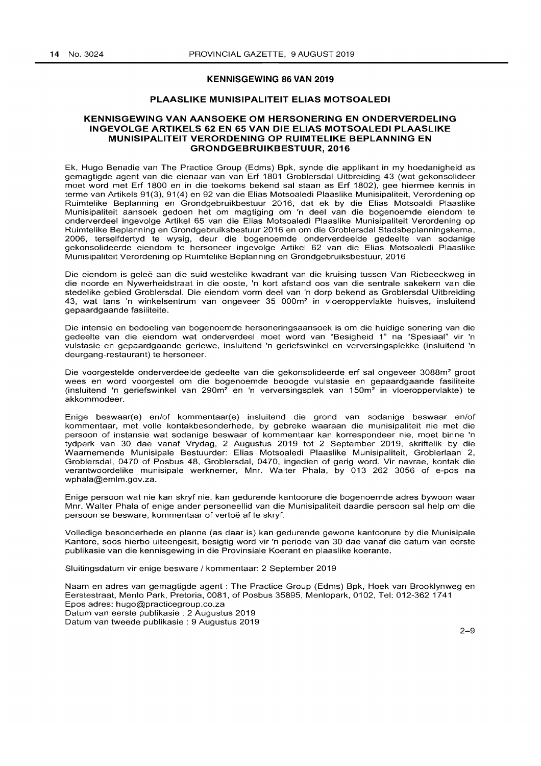#### **KENNISGEWING 86 VAN 2019**

#### **PLAASLIKE MUNISIPALITEIT ELIAS MOTSOALEDI**

#### **KENNISGEWING VAN AANSOEKE OM HERSONERING EN ONDERVERDELING INGEVOLGE ARTIKELS 62 EN 65 VAN DIE ELIAS MOTSOALEDI PLAASLIKE MUNISIPALITEIT VERORDENING OP RUIMTELIKE BEPLANNING EN GRONDGEBRUIKBESTUUR,2016**

Ek, Hugo Benadie van The Practice Group (Edms) Bpk, synde die applikant in my hoedanigheid as gemagtigde agent van die eienaar van van Erf 1801 Groblersdal Uitbreiding 43 (wat gekonsolideer moet word met Erf 1800 en in die toekoms bekend sal staan as Erf 1802), gee hiermee kennis in terme van Artikels 91(3), 91(4) en 92 van die Elias Motsoaledi Plaaslike Munisipaliteit, Verordening op Ruimtelike Beplanning en Grondgebruikbestuur 2016, dat ek by die Elias Motsoaldi Plaaslike Munisipaliteit aansoek gedoen het om magtiging om 'n dee I van die bogenoemde eiendom te onderverdeel ingevolge Artikel 65 van die Elias Motsoaledi Plaaslike Munisipaliteit Verordening op Ruimtelike Beplanning en Grondgebruiksbestuur 2016 en om die Groblersdal Stadsbeplanningskema, 2006, terselfdertyd te wysig, deur die bogenoemde onderverdeelde gedeelte van sodanige gekonsolideerde eiendom te hersoneer ingevolge Artikel 62 van die Elias Motsoaledi Plaaslike Munisipaliteit Verordening op Ruimtelike Beplanning en Grondgebruiksbestuur, 2016

Die eiendom is gelee aan die suid-westelike kwadrant van die kruising tussen Van Riebeeckweg in die noorde en Nywerheidstraat in die ooste, 'n kort afstand oos van die sentrale sakekern van die stedelike gebied Groblersdal. Die eiendom vorm deel van 'n dorp bekend as Groblersdal Uitbreiding 43, wat tans 'n winkelsentrum van ongeveer 35 000m<sup>2</sup> in vloeroppervlakte huisves, insluitend gepaardgaande fasiliteite.

Die intensie en bedoeling van bogenoemde hersoneringsaansoek is om die huidige sonering van die gedeelte van die eiendom wat onderverdeel moet word van "Besigheid 1" na "Spesiaal" vir 'n vulstasie en gepaardgaande geriewe, insluitend 'n geriefswinkel en verversingsplekke (insluitend 'n deurgang-restaurant) te hersoneer.

Die voorgestelde onderverdeelde gedeelte van die gekonsolideerde erf sal ongeveer 3088m<sup>2</sup> groot wees en word voorgestel om die bogenoemde beoogde vulstasie en gepaardgaande fasiliteite (insluitend 'n geriefswinkel van 290 $m^2$  en 'n verversingsplek van 150 $m^2$  in vloeroppervlakte) te akkommodeer.

Enige beswaar(e) en/of kommentaar(e) insluitend die grond van sodanige beswaar en/of kommentaar, met volle kontakbesonderhede, by gebreke waaraan die munisipaliteit nie met die persoon of instansie wat sodanige beswaar of kommentaar kan korrespondeer nie, moet binne 'n tydperk van 30 dae vanaf Vrydag, 2 Augustus 2019 tot 2 September 2019, skriftelik by die Waarnemende Munisipale Bestuurder: Elias Motsoaledi Plaaslike Munisipaliteit, Groblerlaan 2, Groblersdal, 0470 of Posbus 48, Groblersdal, 0470, ingedien of gerig word. Vir navrae, kontak die verantwoordelike munisipale werknemer, Mnr. Walter Phala, by 013 262 3056 of e-pos na wphala@emlm.gov.za.

Enige persoon wat nie kan skryf nie, kan gedurende kantoorure die bogenoemde adres bywoon waar Mnr. Walter Phala of enige ander personeellid van die Munisipaliteit daardie persoon sal help om die persoon se besware, kommentaar of vertoë af te skryf.

Volledige besonderhede en planne (as daar is) kan gedurende gewone kantoorure by die Munisipale Kantore, soos hierbo uiteengesit, besigtig word vir 'n periode van 30 dae vanaf die datum van eerste publikasie van die kennisgewing in die Provinsiale Koerant en plaaslike koerante.

Sluitingsdatum vir enige besware / kommentaar: 2 September 2019

Naam en adres van gemagtigde agent: The Practice Group (Edms) Bpk, Hoek van Brooklynweg en Eerstestraat, Menlo Park, Pretoria, 0081, of Posbus 35895, Menlopark, 0102, Tel: 012-3621741 Epos adres: hugo@practicegroup.co.za Datum van eerste publikasie : 2 Augustus 2019 Datum van tweede publikasie : 9 Augustus 2019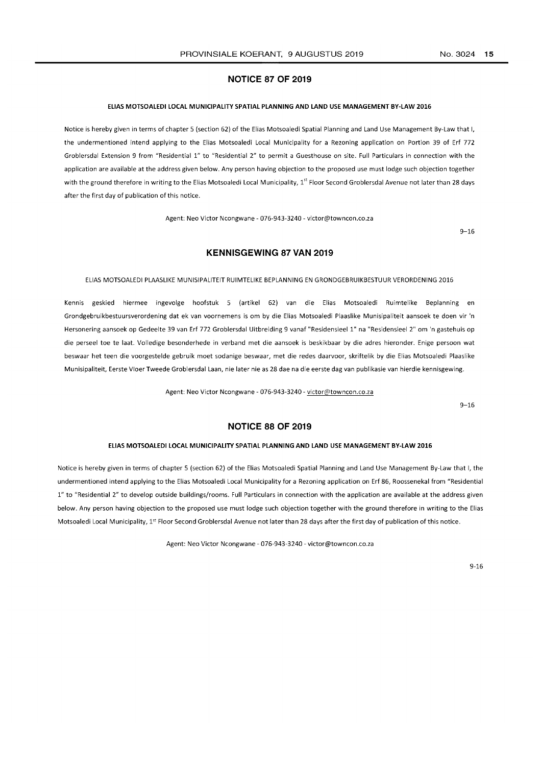#### **NOTICE 87 OF 2019**

#### **EliAS MOTSOALEDI LOCAL MUNICIPALITY SPATIAL PLANNING AND LAND USE MANAGEMENT BY-LAW 2016**

Notice is hereby given in terms of chapter 5 (section 62) of the Elias Motsoaledi Spatial Planning and Land Use Management By-Law that I, the undermentioned intend applying to the Elias Motsoaledi Local Municipality for a Rezoning application on Portion 39 of Erf 772 Groblersdal Extension 9 from "Residential 1" to "Residential 2" to permit a Guesthouse on site. Full Particulars in connection with the application are available at the address given below. Any person having objection to the proposed use must lodge such objection together with the ground therefore in writing to the Elias Motsoaledi Local Municipality, 1<sup>st</sup> Floor Second Groblersdal Avenue not later than 28 days after the first day of publication of this notice.

Agent: Neo Victor Ncongwane - 076-943-3240 - victor@towncon.co.za

 $9 - 16$ 

#### **KENNISGEWING 87 VAN 2019**

#### ELIAS MOTSOALEDI PLAASLIKE MUNISIPALITEIT RUIMTELIKE BEPLANNING EN GRONDGEBRUIKBESTUUR VERORDENING 2016

Kennis geskied hiermee ingevolge hoofstuk 5 (artikel 62) van die Elias Motsoaledi Ruimtelike Beplanning en Grondgebruikbestuursverordening dat ek van voornemens is om by die Elias Motsoaledi Plaaslike Munisipaliteit aansoek te doen vir 'n Hersonering aansoek op Gedeelte 39 van Erf 772 Groblersdal Uitbreiding 9 vanaf "Residensieel 1" na "Residensieel 2" om 'n gastehuis op die perseel toe te laat. Volledige besonderhede in verband met die aansoek is beskikbaar by die adres hieronder. Enige persoon wat beswaar het teen die voorgestelde gebruik moet sodanige beswaar, met die redes daarvoor, skriftelik by die Elias Motsoaledi Plaaslike Munisipaliteit, Eerste Vloer Tweede Groblersdal Laan, nie later nie as 28 dae na die eerste dag van publikasie van hierdie kennisgewing.

Agent: Neo Victor Ncongwane - 076-943-3240 - victor@towncon.co.za

9-16

#### **NOTICE 88 OF 2019**

#### **EliAS MOTSOALEDILOCAL MUNICIPALITY SPATIAL PLANNING AND LAND USE MANAGEMENT BY-LAW 2016**

Notice is hereby given in terms of chapter 5 (section 62) of the Elias Motsoaledi Spatial Planning and Land Use Management By-Law that I, the undermentioned intend applying to the Elias Motsoaledi Local Municipality for a Rezoning application on Erf 86, Roossenekal from "Residential 1" to "Residential 2" to develop outside buildings/rooms. Full Particulars in connection with the application are available at the address given below. Any person having objection to the proposed use must lodge such objection together with the ground therefore in writing to the Elias Motsoaledi Local Municipality, 1" Floor Second Groblersdal Avenue not later than 28 days after the first day of publication of this notice.

Agent: Neo Victor Ncongwane - 076-943-3240 - victor@towncon.co.za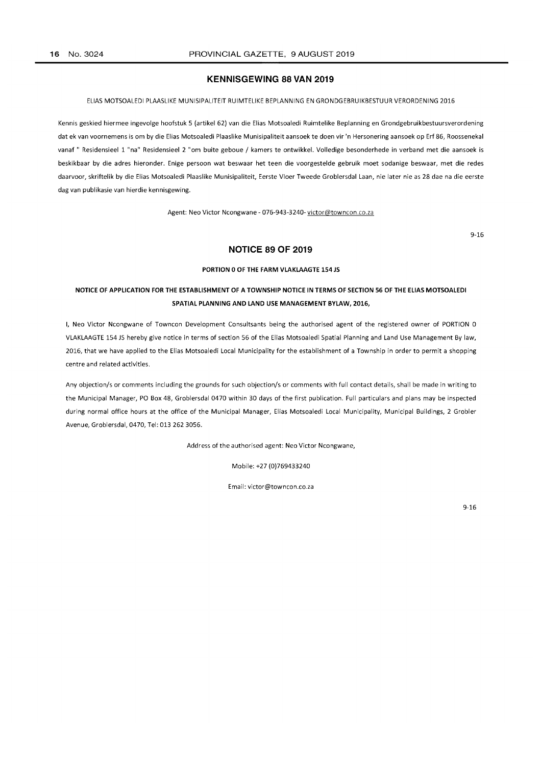#### **KENNISGEWING 88 VAN 2019**

#### ELIAS MOTSOALEDI PLAASLIKE MUNISIPALITEIT RUIMTELIKE BEPLANNING EN GRONDGEBRUIKBESTUUR VERORDENING 2016

Kennis geskied hiermee ingevolge hoofstuk 5 (artikel 62) van die Elias Motsoaledi Ruimtelike Beplanning en Grondgebruikbestuursverordening dat ek van voornemens is om by die Elias Motsoaledi Plaaslike Munisipaliteit aansoek te doen vir 'n Hersonering aansoek op Erf 86, Roossenekal vanaf" Residensieel 1 "na" Residensieel 2 "om buite geboue / kamers te ontwikkel. Voliedige besonderhede in verband met die aansoek is beskikbaar by die adres hieronder. Enige persoon wat beswaar het teen die voorgestelde gebruik moet sodanige beswaar, met die redes daarvoor, skriftelik by die Elias Motsoaledi Plaaslike Munisipaliteit, Eerste Vloer Tweede Groblersdal Laan, nie later nie as 28 dae na die eerste dag van publikasie van hierdie kennisgewing.

Agent: Neo Victor Ncongwane - 076-943-3240- victor@towncon.co.za

9-16

#### **NOTICE 89 OF 2019**

#### PORTION 0 OF THE FARM VLAKLAAGTE 154 JS

#### NOTICE OF APPLICATION FOR THE ESTABLISHMENT OF A TOWNSHIP NOTICE IN TERMS OF SECTION S6 OF THE ELIAS MOTSOALEDI SPATIAL PLANNING AND LAND USE MANAGEMENT BYLAW, 2016,

Neo Victor Ncongwane of Towncon Development Consultsants being the authorised agent of the registered owner of PORTION 0 VLAKLAAGTE 154 JS hereby give notice in terms of section 56 of the Elias Motsoaledi Spatial Planning and Land Use Management By law, 2016, that we have applied to the Elias Motsoaledi Local Municipality for the establishment of a Township in order to permit a shopping centre and related activities.

Any objection/s or comments including the grounds for such objection/s or comments with full contact details, shall be made in writing to the Municipal Manager, PO Box 48, Groblersdal 0470 within 30 days of the first publication. Full particulars and plans may be inspected during normal office hours at the office of the Municipal Manager, Elias Motsoaledi Local Municipality, Municipal Buildings, 2 Grobler Avenue, Groblersdal, 0470, Tel: 013 262 3056.

Address of the authorised agent: Neo Victor Ncongwane,

Mobile: +27 (0)769433240

Email: victor@towncon.co.za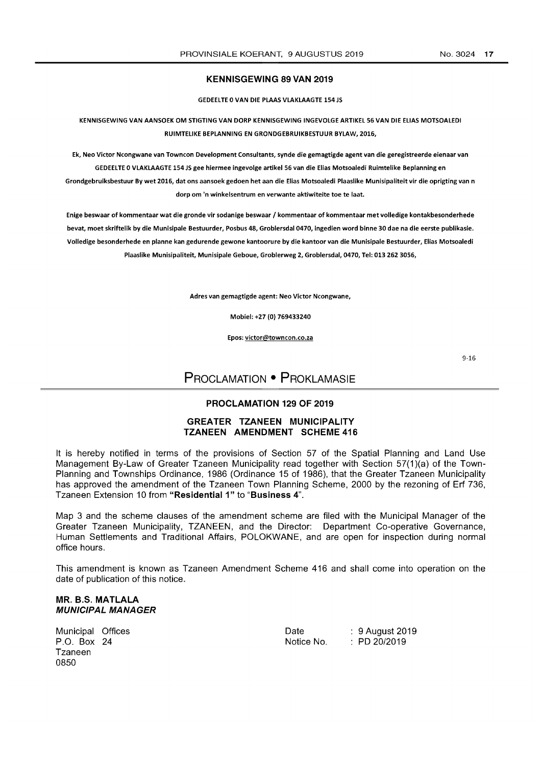#### KENNISGEWING 89 VAN 2019

GEDEEl TE 0 VAN DIE PlAAS VlAKlAAGTE 154 JS

KENNISGEWING VAN AANSOEK OM STIGTING VAN DORP KENNISGEWING INGEVOlGE ARTIKEl56 VAN DIE ELIAS MOTSOAlEDI RUIMTELIKE BEPlANNING EN GRONDGEBRUIKBESTUUR BYlAW, 2016,

Ek, Neo Victor Ncongwane van Towncon Development Consultants, synde die gemagtigde agent van die geregistreerde eienaar van GEDEEl TE 0 VlAKlAAGTE 154 JS gee hiermee ingevolge artikel 56 van die Elias Motsoaledi Ruimtelike Beplanning en Grondgebruiksbestuur By wet 2016, dat ons aansoek gedoen het aan die Elias Motsoaledi Plaaslike Munisipaliteit vir die oprigting van n dorp om 'n winkelsentrum en verwante aktiwiteite toe te laat.

Enige beswaar of kommentaar wat die gronde vir sodanige beswaar I kommentaar of kommentaar met volledige kontakbesonderhede bevat, moet skriftelik by die Munisipale Bestuurder, Posbus 48, Groblersdal 0470, ingedien word binne 30 dae na die eerste publikasie. Volledige besonderhede en planne kan gedurende gewone kantoorure by die kantoor van die Munisipale Bestuurder, Elias Motsoaledi Plaaslike Munisipaliteit, Munisipale Geboue, Groblerweg 2, Groblersdal, 0470, Tel: 013 262 3056,

Adres van gemagtigde agent: Neo Victor Ncongwane,

Mobiel: +27 (0) 769433240

Epos: victor@towncon.co.za

9-16

### PROCLAMATION • PROKLAMASIE

#### PROCLAMATION 129 OF 2019

#### GREATER TZANEEN MUNICIPALITY TZANEEN AMENDMENT SCHEME 416

It is hereby notified in terms of the provisions of Section 57 of the Spatial Planning and Land Use Management By-Law of Greater Tzaneen Municipality read together with Section 57(1)(a) of the Town-Planning and Townships Ordinance, 1986 (Ordinance 15 of 1986), that the Greater Tzaneen Municipality has approved the amendment of the Tzaneen Town Planning Scheme, 2000 by the rezoning of Erf 736, Tzaneen Extension 10 from "Residential 1" to "Business 4".

Map 3 and the scheme clauses of the amendment scheme are filed with the Municipal Manager of the Greater Tzaneen Municipality, TZANEEN, and the Director: Department Co-operative Governance, Human Settlements and Traditional Affairs, POLOKWANE, and are open for inspection during normal office hours.

This amendment is known as Tzaneen Amendment Scheme 416 and shall come into operation on the date of publication of this notice.

#### MR. B.S. MATLALA MUNICIPAL MANAGER

Municipal Offices P.O. Box 24 Tzaneen 0850

Date Notice No.

9 August 2019  $:$  PD 20/2019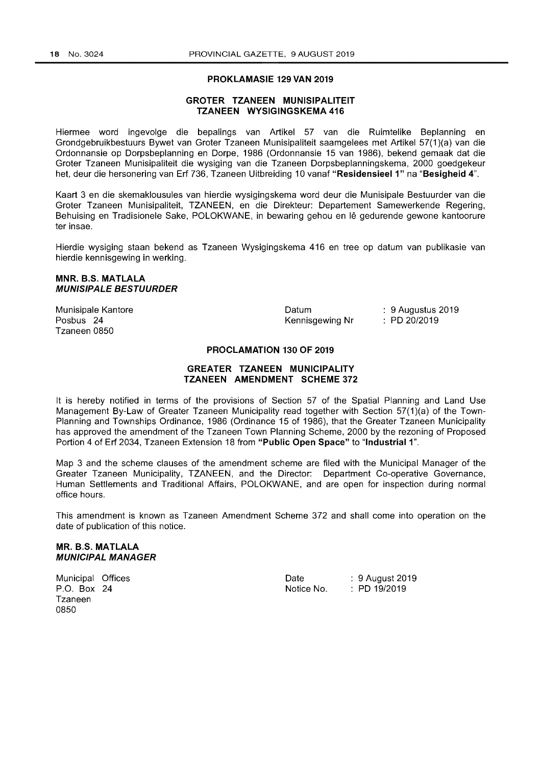#### PROKLAMASIE 129 VAN 2019

#### GROTER TZANEEN MUNISIPALITEIT TZANEEN WYSIGINGSKEMA 416

Hiermee word ingevolge die bepalings van Artikel 57 van die Ruimtelike Beplanning en Grondgebruikbestuurs Bywet van Groter Tzaneen Munisipaliteit saamgelees met Artikel 57(1 )(a) van die Ordonnansie op Dorpsbeplanning en Dorpe, 1986 (Ordonnansie 15 van 1986), bekend gemaak dat die Groter Tzaneen Munisipaliteit die wysiging van die Tzaneen Dorpsbeplanningskema, 2000 goedgekeur het, deur die hersonering van Erf 736, Tzaneen Uitbreiding 10 vanaf "Residensieel 1" na "Besigheid 4".

Kaart 3 en die skemaklousules van hierdie wysigingskema word deur die Munisipale Bestuurder van die Groter Tzaneen Munisipaliteit, TZANEEN, en die Direkteur: Departement Samewerkende Regering, Behuising en Tradisionele Sake, POLOKWANE, in bewaring gehou en Ie gedurende gewone kantoorure ter insae.

Hierdie wysiging staan bekend as Tzaneen Wysigingskema 416 en tree op datum van publikasie van hierdie kennisgewing in werking.

#### MNR. B.S. MATLALA MUNISIPALE BESTUURDER

Munisipale Kantore Posbus 24 Tzaneen 0850

Datum Kennisgewing Nr

9 Augustus 2019 PD 20/2019

#### PROCLAMATION 130 OF 2019

#### GREATER TZANEEN MUNICIPALITY TZANEEN AMENDMENT SCHEME 372

It is hereby notified in terms of the provisions of Section 57 of the Spatial Planning and Land Use Management By-Law of Greater Tzaneen Municipality read together with Section 57(1)(a) of the Town-Planning and Townships Ordinance, 1986 (Ordinance 15 of 1986), that the Greater Tzaneen Municipality has approved the amendment of the Tzaneen Town Planning Scheme, 2000 by the rezoning of Proposed Portion 4 of Erf 2034, Tzaneen Extension 18 from "Public Open Space" to "Industrial 1".

Map 3 and the scheme clauses of the amendment scheme are filed with the Municipal Manager of the Greater Tzaneen Municipality, TZANEEN, and the Director: Department Co-operative Governance, Human Settlements and Traditional Affairs, POLOKWANE, and are open for inspection during normal office hours.

This amendment is known as Tzaneen Amendment Scheme 372 and shall come into operation on the date of publication of this notice.

#### MR. B.S. MATLALA MUNICIPAL MANAGER

Municipal Offices P.O. Box 24 Tzaneen 0850

Date Notice No. 9 August 2019 PD 19/2019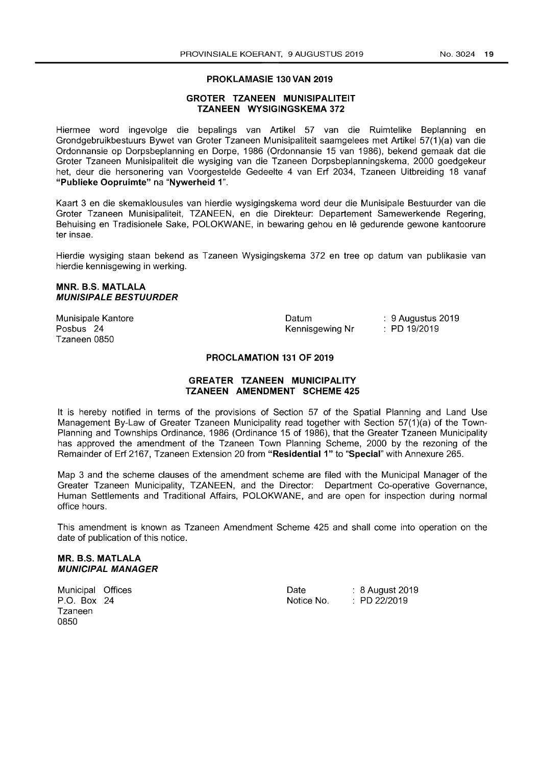#### PROKLAMASIE 130 VAN 2019

#### GROTER TZANEEN MUNISIPALITEIT TZANEEN WYSIGINGSKEMA 372

Hiermee word ingevolge die bepalings van Artikel 57 van die Ruimtelike Beplanning en Grondgebruikbestuurs Bywet van Groter Tzaneen Munisipaliteit saamgelees met Artikel 57(1 )(a) van die Ordonnansie op Dorpsbeplanning en Dorpe, 1986 (Ordonnansie 15 van 1986), bekend gemaak dat die Groter Tzaneen Munisipaliteit die wysiging van die Tzaneen Dorpsbeplanningskema, 2000 goedgekeur het, deur die hersonering van Voorgestelde Gedeelte 4 van Erf 2034, Tzaneen Uitbreiding 18 vanaf "Publieke Oopruimte" na "Nywerheid 1".

Kaart 3 en die skemaklousules van hierdie wysigingskema word deur die Munisipale Bestuurder van die Groter Tzaneen Munisipaliteit, TZANEEN, en die Direkteur: Departement Samewerkende Regering, Behuising en Tradisionele Sake, POLOKWANE, in bewaring gehou en lê gedurende gewone kantoorure ter insae.

Hierdie wysiging staan bekend as Tzaneen Wysigingskema 372 en tree op datum van publikasie van hierdie kennisgewing in werking.

#### MNR. B.S. MATLALA MUNISIPALE BESTUURDER

Munisipale Kantore Posbus 24 Tzaneen 0850

Datum Kennisgewing Nr 9 Augustus 2019  $:$  PD 19/2019

#### PROCLAMATION 131 OF 2019

#### GREATER TZANEEN MUNICIPALITY TZANEEN AMENDMENT SCHEME 425

It is hereby notified in terms of the provisions of Section 57 of the Spatial Planning and Land Use Management By-Law of Greater Tzaneen Municipality read together with Section 57(1)(a) of the Town-Planning and Townships Ordinance, 1986 (Ordinance 15 of 1986), that the Greater Tzaneen Municipality has approved the amendment of the Tzaneen Town Planning Scheme, 2000 by the rezoning of the Remainder of Erf 2167, Tzaneen Extension 20 from "Residential 1" to "Special" with Annexure 265.

Map 3 and the scheme clauses of the amendment scheme are filed with the Municipal Manager of the Greater Tzaneen Municipality, TZANEEN, and the Director: Department Co-operative Governance, Human Settlements and Traditional Affairs, POLOKWANE, and are open for inspection during normal office hours.

This amendment is known as Tzaneen Amendment Scheme 425 and shall come into operation on the date of publication of this notice.

#### MR. B.S. MATLALA MUNICIPAL MANAGER

Municipal Offices P.O. Box 24 Tzaneen 0850

Date Notice No. 8 August 2019 PD 22/2019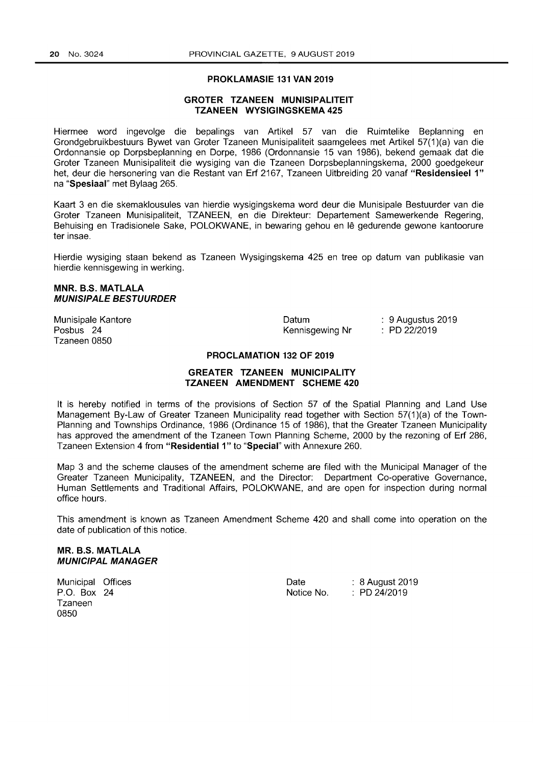#### PROKLAMASIE 131 VAN 2019

#### GROTER TZANEEN MUNISIPALITEIT TZANEEN WYSIGINGSKEMA 425

Hiermee word ingevolge die bepalings van Artikel 57 van die Ruimtelike Beplanning en Grondgebruikbestuurs Bywet van Groter Tzaneen Munisipaliteit saamgelees met Artikel 57(1 )(a) van die Ordonnansie op Dorpsbeplanning en Dorpe, 1986 (Ordonnansie 15 van 1986), bekend gemaak dat die Groter Tzaneen Munisipaliteit die wysiging van die Tzaneen Dorpsbeplanningskema, 2000 goedgekeur het, deur die hersonering van die Restant van Erf 2167, Tzaneen Uitbreiding 20 vanaf "Residensieel 1" na "Spesiaal" met Bylaag 265.

Kaart 3 en die skemaklousules van hierdie wysigingskema word deur die Munisipale Bestuurder van die Groter Tzaneen Munisipaliteit, TZANEEN, en die Direkteur: Departement Samewerkende Regering, Behuising en Tradisionele Sake, POLOKWANE, in bewaring gehou en lê gedurende gewone kantoorure ter insae.

Hierdie wysiging staan bekend as Tzaneen Wysigingskema 425 en tree op datum van publikasie van hierdie kennisgewing in werking.

#### MNR. B.S. MATLALA MUNISIPALE BESTUURDER

Munisipale Kantore Posbus 24 Tzaneen 0850

**Datum** Kennisgewing Nr 9 Augustus 2019  $:$  PD 22/2019

#### PROCLAMATION 132 OF 2019

#### GREATER TZANEEN MUNICIPALITY TZANEEN AMENDMENT SCHEME 420

It is hereby notified in terms of the provisions of Section 57 of the Spatial Planning and Land Use Management By-Law of Greater Tzaneen Municipality read together with Section 57(1)(a) of the Town-Planning and Townships Ordinance, 1986 (Ordinance 15 of 1986), that the Greater Tzaneen Municipality has approved the amendment of the Tzaneen Town Planning Scheme, 2000 by the rezoning of Erf 286, Tzaneen Extension 4 from "Residential 1" to "Special" with Annexure 260.

Map 3 and the scheme clauses of the amendment scheme are filed with the Municipal Manager of the Greater Tzaneen Municipality, TZANEEN, and the Director: Department Co-operative Governance, Human Settlements and Traditional Affairs, POLOKWANE, and are open for inspection during normal office hours.

This amendment is known as Tzaneen Amendment Scheme 420 and shall come into operation on the date of publication of this notice.

#### MR. B.S. MATLALA MUNICIPAL MANAGER

Municipal Offices P.O. Box 24 Tzaneen 0850

Date Notice No. 8 August 2019 PD 24/2019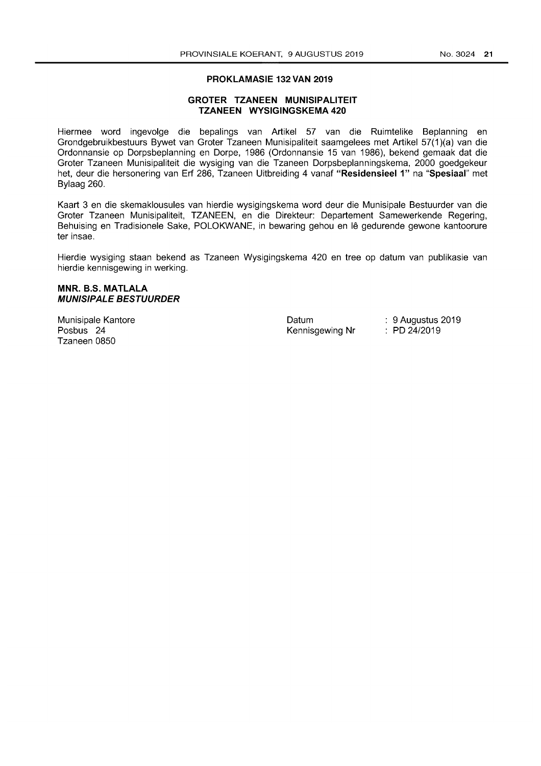#### PROKLAMASIE 132 VAN 2019

#### GROTER TZANEEN MUNISIPALITEIT TZANEEN WYSIGINGSKEMA 420

Hiermee word ingevolge die bepalings van Artikel 57 van die Ruimtelike Beplanning en Grondgebruikbestuurs Bywet van Groter Tzaneen Munisipaliteit saamgelees met Artikel 57(1 )(a) van die Ordonnansie op Dorpsbeplanning en Dorpe, 1986 (Ordonnansie 15 van 1986), bekend gemaak dat die Groter Tzaneen Munisipaliteit die wysiging van die Tzaneen Dorpsbeplanningskema, 2000 goedgekeur het, deur die hersonering van Erf 286, Tzaneen Uitbreiding 4 vanaf "Residensieel 1" na "Spesiaal" met Bylaag 260.

Kaart 3 en die skemaklousules van hierdie wysigingskema word deur die Munisipale Bestuurder van die Groter Tzaneen Munisipaliteit, TZANEEN, en die Direkteur: Departement Samewerkende Regering, Behuising en Tradisionele Sake, POLOKWANE, in bewaring gehou en lê gedurende gewone kantoorure ter insae.

Hierdie wysiging staan bekend as Tzaneen Wysigingskema 420 en tree op datum van publikasie van hierdie kennisgewing in werking.

#### MNR. B.S. MATLALA MUNISIPALE BESTUURDER

Munisipale Kantore Posbus 24 Tzaneen 0850

**Datum** Kennisgewing Nr 9 Augustus 2019  $\therefore$  PD 24/2019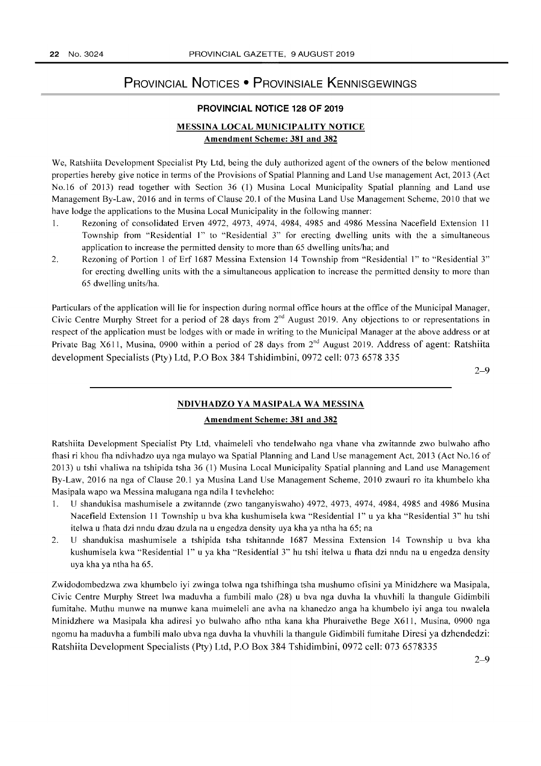### PROVINCIAL NOTICES • PROVINSIALE KENNISGEWINGS

#### **PROVINCIAL NOTICE** 128 **OF** 2019

#### MESSINA LOCAL MUNICIPALITY NOTICE Amendment Scheme: 381 and 382

We, Ratshiita Development Specialist Pty Ltd, being the duly authorized agent of the owners of the below mentioned properties hereby give notice in terms of the Provisions of Spatial Planning and Land Use management Act, 2013 (Act No.16 of 2013) read together with Section 36 (1) Musina Local Municipality Spatial planning and Land use Management By-Law, 2016 and in terms of Clause 20.1 of the Musina Land Use Management Scheme, 2010 that we have lodge the applications to the Musina Local Municipality in the following manner:

- 1. Rezoning of consolidated Erven 4972, 4973, 4974, 4984, 4985 and 4986 Messina Nacefield Extension 11 Township from "Residential I" to "Residential 3" for erecting dwelling units with the a simultaneous application to increase the permitted density to more than 65 dwelling units/ha; and
- 2. Rezoning of Portion 1 of Erf 1687 Messina Extension 14 Township from "Residential 1" to "Residential 3" for erecting dwelling units with the a simultaneous application to increase the permitted density to more than 65 dwelling units/ha.

Particulars of the application will lie for inspection during normal office hours at the office of the Municipal Manager, Civic Centre Murphy Street for a period of 28 days from 2<sup>nd</sup> August 2019. Any objections to or representations in respect of the application must be lodges with or made in writing to the Municipal Manager at the above address or at Private Bag X611, Musina, 0900 within a period of 28 days from 2<sup>nd</sup> August 2019. Address of agent: Ratshiita development Specialists (Pty) Ltd, P.O Box 384 Tshidimbini, 0972 cell: 073 6578335

2-9

### NDIVHADZO YA MASIPALA WA MESSINA Amendment Scheme: 381 and 382

Ratshiita Development Specialist Pty Ltd, vhaimeleli vho tendelwaho nga vhane vha zwitannde zwo bulwaho afuo fhasi ri khou fha ndivhadzo uya nga mulayo wa Spatial Planning and Land Use management Act, 2013 (Act No.16 of 2013) u tshi vhaliwa na tshipida tsha 36 (1) Musina Local Municipality Spatial planning and Land use Management By-Law, 2016 na nga of Clause 20.1 ya Musina Land Use Management Scheme, 2010 zwauri ro ita khumbelo kha Masipala wapo wa Messina malugana nga ndila I tevheleho:

- 1. U shandukisa mashumisele a zwitannde (zwo tanganyiswaho) 4972, 4973, 4974, 4984, 4985 and 4986 Musina Nacefield Extension 11 Township u bva kha kushumisela kwa "Residential I" u ya kha "Residential 3" hu tshi itelwa u fhata dzi nndu dzau dzula na u engedza density uya kha ya ntha ha 65; na
- 2. U shandukisa mashumisele a tshipida tsha tshitannde 1687 Messina Extension 14 Township u bva kha kushumisela kwa "Residential 1" u ya kha "Residential 3" hu tshi itelwa u fhata dzi nndu na u engedza density uya kha ya ntha ha 65.

Zwidodombedzwa zwa khumbelo iyi zwinga tolwa nga tshifhinga tsha mushumo ofisini ya Minidzhere wa Masipala, Civic Centre Murphy Street Iwa maduvha a fumbili malo (28) u bva nga duvha la vhuvhili la thangule Gidimbili fumitahe. Muthu munwe na munwe kana muimeleli ane avha na khanedzo anga ha khumbelo iyi anga tou nwalela Minidzhere wa Masipala kha adiresi yo bulwaho afho ntha kana kha Phuraivethe Bege X611, Musina, 0900 nga ngomu ha maduvha a fumbili malo ubva nga duvha la vhuvhili la thangule Gidimbili fumitahe Diresi ya dzhendedzi: Ratshiita Development Specialists (Pty) Ltd, P.O Box 384 Tshidimbini, 0972 cell: 073 6578335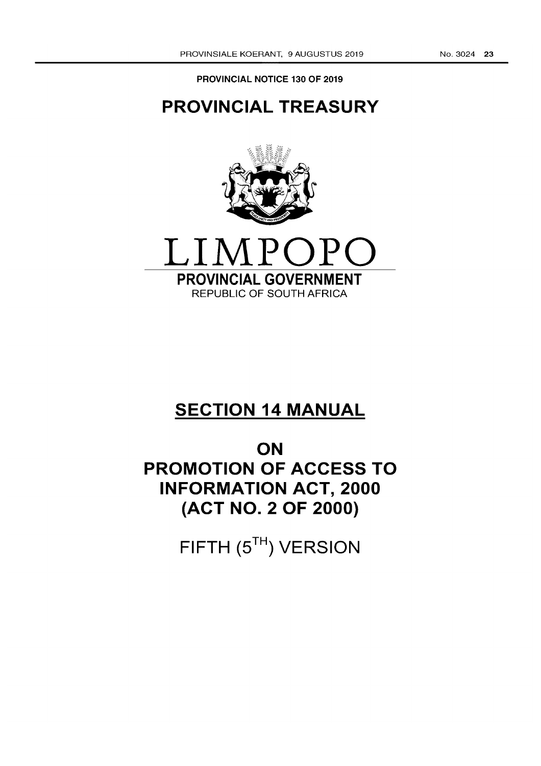PROVINCIAL NOTICE 130 OF 2019

# **PROVINCIAL TREASURY**



**PROVINCIAL GOVERNMENT**  REPUBLIC OF SOUTH AFRICA

# **SECTION 14 MANUAL**

**ON PROMOTION OF ACCESS TO INFORMATION ACT, 2000 (ACT NO.2 OF 2000)** 

**FIFTH** (5TH ) **VERSION**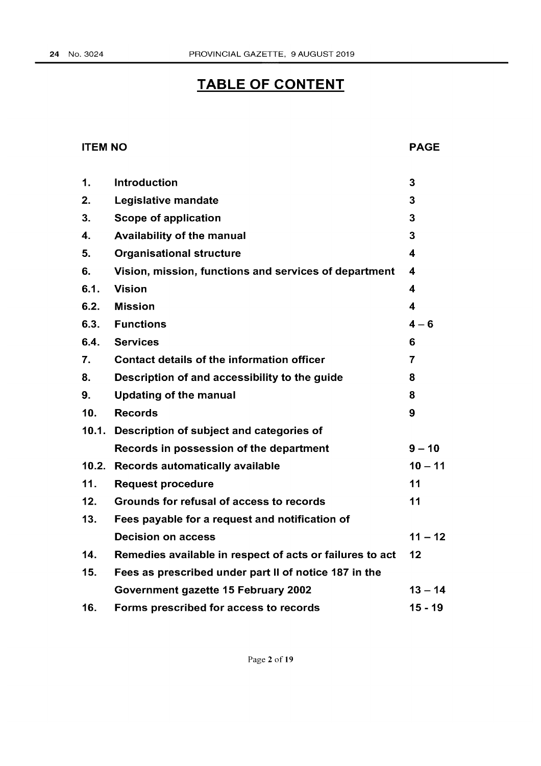## **TABLE OF CONTENT**

### ITEM NO PAGE

| 1.    | <b>Introduction</b>                                      | 3                       |
|-------|----------------------------------------------------------|-------------------------|
| 2.    | Legislative mandate                                      | 3                       |
| 3.    | Scope of application                                     | 3                       |
| 4.    | <b>Availability of the manual</b>                        | 3                       |
| 5.    | <b>Organisational structure</b>                          | $\overline{\mathbf{4}}$ |
| 6.    | Vision, mission, functions and services of department    | 4                       |
| 6.1.  | <b>Vision</b>                                            | 4                       |
| 6.2.  | <b>Mission</b>                                           | $\overline{\mathbf{4}}$ |
| 6.3.  | <b>Functions</b>                                         | $4 - 6$                 |
| 6.4.  | <b>Services</b>                                          | 6                       |
| 7.    | <b>Contact details of the information officer</b>        | $\overline{\mathbf{r}}$ |
| 8.    | Description of and accessibility to the guide            | 8                       |
| 9.    | <b>Updating of the manual</b>                            | 8                       |
| 10.   | <b>Records</b>                                           | 9                       |
| 10.1. | Description of subject and categories of                 |                         |
|       | Records in possession of the department                  | $9 - 10$                |
| 10.2. | Records automatically available                          | $10 - 11$               |
| 11.   | <b>Request procedure</b>                                 | 11                      |
| 12.   | Grounds for refusal of access to records                 | 11                      |
| 13.   | Fees payable for a request and notification of           |                         |
|       | <b>Decision on access</b>                                | $11 - 12$               |
| 14.   | Remedies available in respect of acts or failures to act | 12                      |
| 15.   | Fees as prescribed under part II of notice 187 in the    |                         |
|       | Government gazette 15 February 2002                      | $13 - 14$               |
| 16.   | Forms prescribed for access to records                   | 15 - 19                 |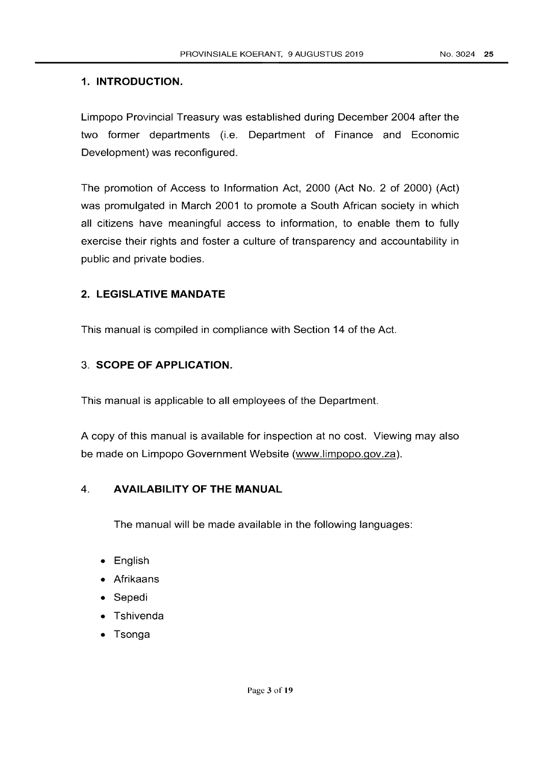### 1. **INTRODUCTION.**

Limpopo Provincial Treasury was established during December 2004 after the two former departments (i.e. Department of Finance and Economic Development) was reconfigured.

The promotion of Access to Information Act, 2000 (Act No.2 of 2000) (Act) was promulgated in March 2001 to promote a South African society in which all citizens have meaningful access to information, to enable them to fully exercise their rights and foster a culture of transparency and accountability in public and private bodies.

### 2. **LEGISLATIVE MANDATE**

This manual is compiled in compliance with Section 14 of the Act.

### 3. **SCOPE OF APPLICATION.**

This manual is applicable to all employees of the Department.

A copy of this manual is available for inspection at no cost. Viewing may also be made on Limpopo Government Website (www.limpopo.gov.za).

### 4. **AVAILABILITY OF THE MANUAL**

The manual will be made available in the following languages:

- English
- Afrikaans
- Sepedi
- Tshivenda
- Tsonga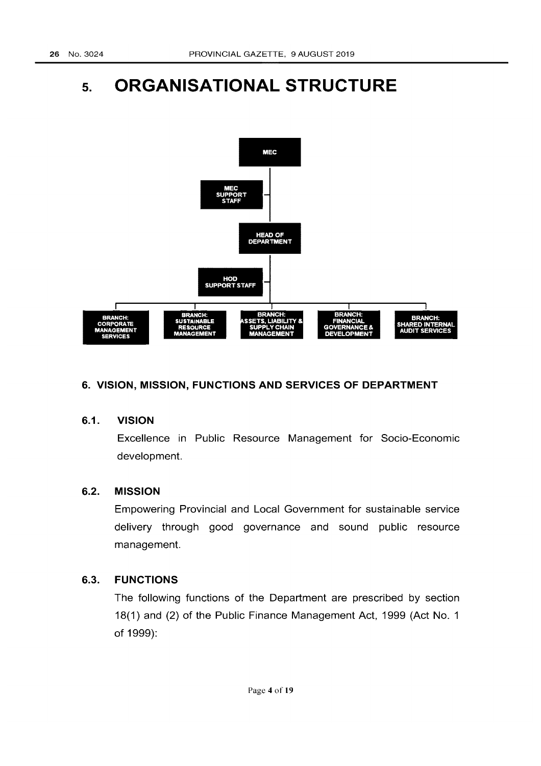# 5. **ORGANISATIONAL STRUCTURE**



#### 6. VISION, MISSION, FUNCTIONS AND SERVICES OF DEPARTMENT

#### 6.1. VISION

Excellence in Public Resource Management for Socio-Economic development.

### 6.2. MISSION

Empowering Provincial and Local Government for sustainable service delivery through good governance and sound public resource management.

### 6.3. FUNCTIONS

The following functions of the Department are prescribed by section 18(1) and (2) of the Public Finance Management Act, 1999 (Act No.1 of 1999):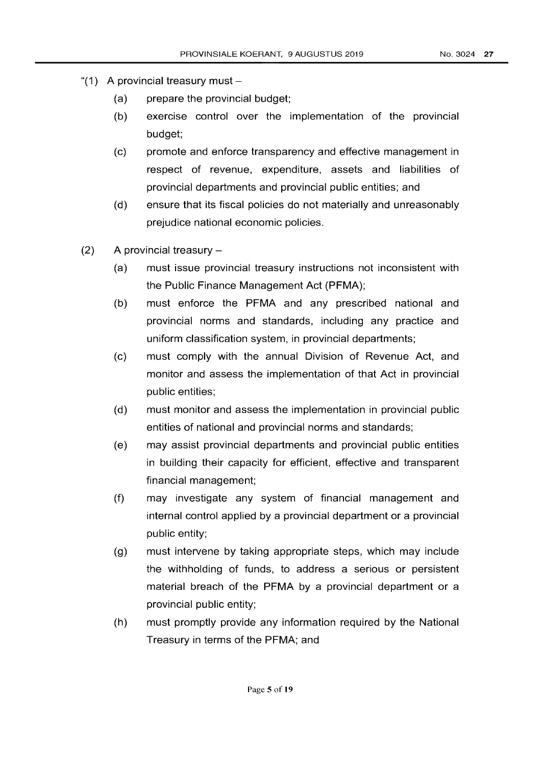- " $(1)$  A provincial treasury must -
	- (a) prepare the provincial budget;
	- (b) exercise control over the implementation of the provincial budget;
	- (c) promote and enforce transparency and effective management in respect of revenue, expenditure, assets and liabilities of provincial departments and provincial public entities; and
	- (d) ensure that its fiscal policies do not materially and unreasonably prejudice national economic policies.
- $(2)$  A provincial treasury -
	- (a) must issue provincial treasury instructions not inconsistent with the Public Finance Management Act (PFMA);
	- (b) must enforce the PFMA and any prescribed national and provincial norms and standards, including any practice and uniform classification system, in provincial departments;
	- (c) must comply with the annual Division of Revenue Act, and monitor and assess the implementation of that Act in provincial public entities;
	- (d) must monitor and assess the implementation in provincial public entities of national and provincial norms and standards;
	- (e) may assist provincial departments and provincial public entities in building their capacity for efficient, effective and transparent financial management;
	- (f) may investigate any system of financial management and internal control applied by a provincial department or a provincial public entity;
	- (g) must intervene by taking appropriate steps, which may include the withholding of funds, to address a serious or persistent material breach of the PFMA by a provincial department or a provincial public entity;
	- (h) must promptly provide any information required by the National Treasury in terms of the PFMA; and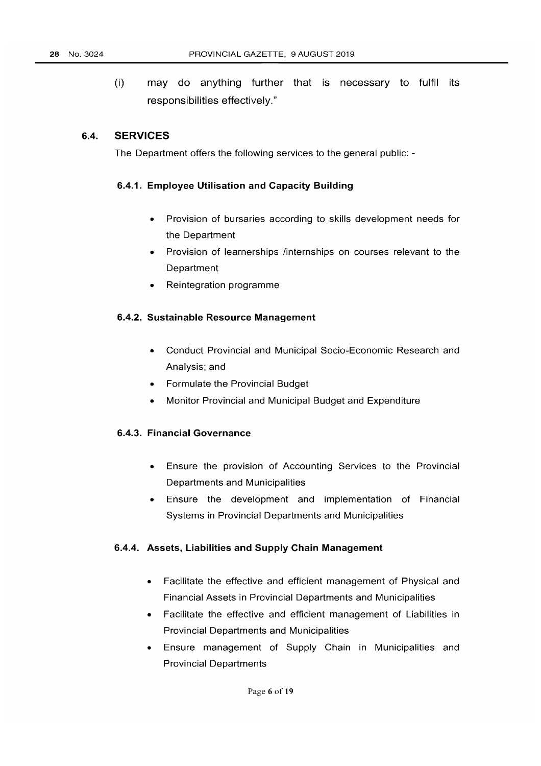(i) may do anything further that is necessary to fulfil its responsibilities effectively."

#### 6.4. SERVICES

The Department offers the following services to the general public: -

#### 6.4.1. Employee Utilisation and Capacity Building

- Provision of bursaries according to skills development needs for the Department
- Provision of learnerships /internships on courses relevant to the Department
- Reintegration programme

#### 6.4.2. Sustainable Resource Management

- Conduct Provincial and Municipal Socio-Economic Research and Analysis; and
- Formulate the Provincial Budget
- Monitor Provincial and Municipal Budget and Expenditure

### 6.4.3. Financial Governance

- Ensure the provision of Accounting Services to the Provincial Departments and Municipalities
- Ensure the development and implementation of Financial Systems in Provincial Departments and Municipalities

#### 6.4.4. Assets, Liabilities and Supply Chain Management

- Facilitate the effective and efficient management of Physical and Financial Assets in Provincial Departments and Municipalities
- Facilitate the effective and efficient management of Liabilities in Provincial Departments and Municipalities
- Ensure management of Supply Chain in Municipalities and Provincial Departments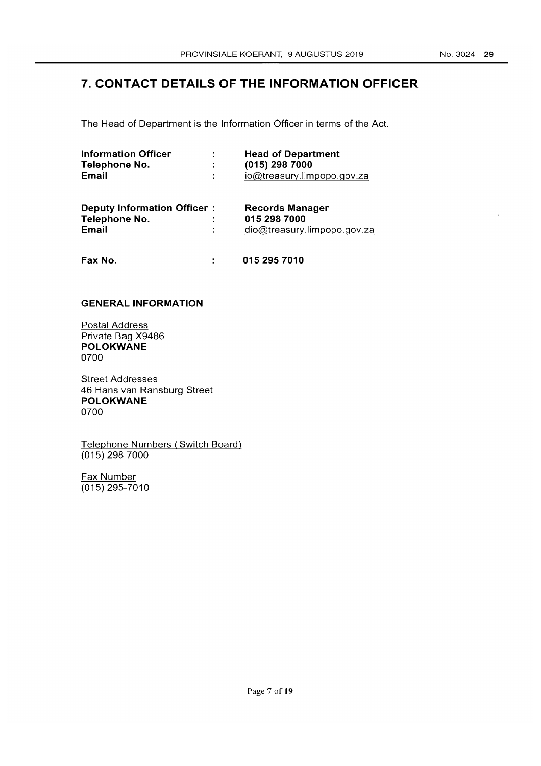### **7. CONTACT DETAILS OF THE INFORMATION OFFICER**

The Head of Department is the Information Officer in terms of the Act.

| <b>Information Officer</b><br>Telephone No. |        | <b>Head of Department</b><br>$(015)$ 298 7000 |
|---------------------------------------------|--------|-----------------------------------------------|
| Email                                       | ٠<br>n | io@treasury.limpopo.gov.za                    |

| <b>Deputy Information Officer:</b> | <b>Records Manager</b>      |
|------------------------------------|-----------------------------|
| Telephone No.                      | 015 298 7000                |
| Email                              | dio@treasury.limpopo.gov.za |
|                                    |                             |

**Fax No. 0152957010** 

#### **GENERAL INFORMATION**

Postal Address Private Bag X9486 **POLOKWANE**  0700

**Street Addresses** 46 Hans van Ransburg Street **POLOKWANE**  0700

Telephone Numbers (Switch Board) (015) 298 7000

Fax Number (015) 295-7010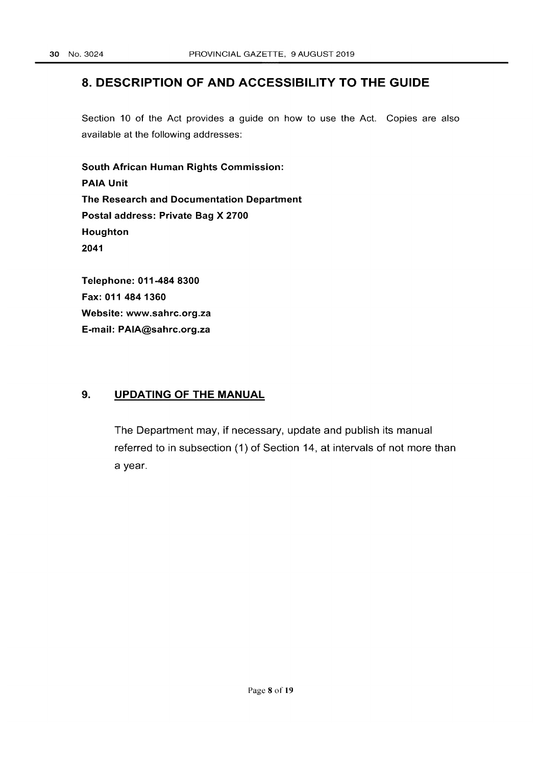### 8. DESCRIPTION OF AND ACCESSIBILITY TO THE GUIDE

Section 10 of the Act provides a guide on how to use the Act. Copies are also available at the following addresses:

South African Human Rights Commission: PAIA Unit The Research and Documentation Department Postal address: Private Bag X 2700 Houghton 2041

Telephone: 011-484 8300 Fax: 011 4841360 Website: www.sahrc.org.za E-mail: PAIA@sahrc.org.za

### 9. UPDATING OF THE MANUAL

The Department may, if necessary, update and publish its manual referred to in subsection (1) of Section 14, at intervals of not more than a year.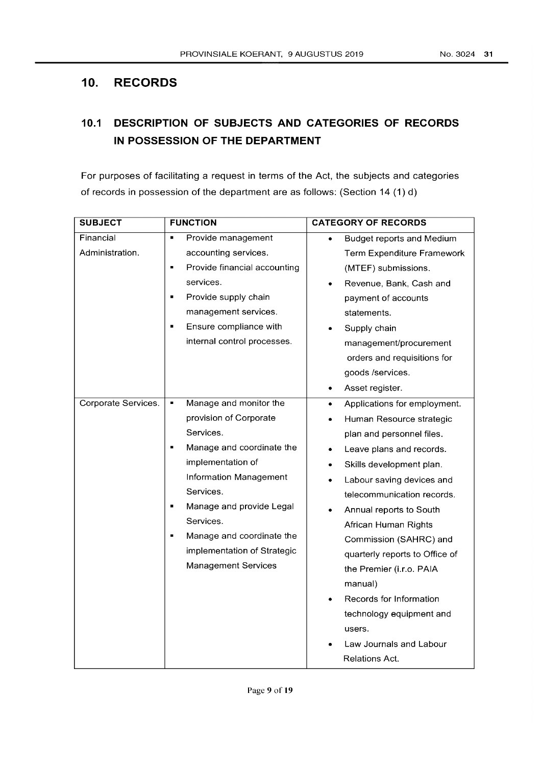### **10. RECORDS**

### **10.1 DESCRIPTION OF SUBJECTS AND CATEGORIES OF RECORDS IN POSSESSION OF THE DEPARTMENT**

For purposes of facilitating a request in terms of the Act, the subjects and categories of records in possession of the department are as follows: (Section 14 (1) d)

| <b>SUBJECT</b>      | <b>FUNCTION</b>                          | <b>CATEGORY OF RECORDS</b>       |
|---------------------|------------------------------------------|----------------------------------|
| Financial           | Provide management<br>$\blacksquare$     | <b>Budget reports and Medium</b> |
| Administration.     | accounting services.                     | Term Expenditure Framework       |
|                     | Provide financial accounting<br>٠        | (MTEF) submissions.              |
|                     | services.                                | Revenue, Bank, Cash and          |
|                     | Provide supply chain<br>٠                | payment of accounts              |
|                     | management services.                     | statements.                      |
|                     | Ensure compliance with<br>п              | Supply chain                     |
|                     | internal control processes.              | management/procurement           |
|                     |                                          | orders and requisitions for      |
|                     |                                          | goods /services.                 |
|                     |                                          | Asset register.                  |
| Corporate Services. | Manage and monitor the<br>$\blacksquare$ | Applications for employment.     |
|                     | provision of Corporate                   | Human Resource strategic         |
|                     | Services.                                | plan and personnel files.        |
|                     | Manage and coordinate the<br>п           | Leave plans and records.         |
|                     | implementation of                        | Skills development plan.         |
|                     | Information Management                   | Labour saving devices and        |
|                     | Services.                                | telecommunication records.       |
|                     | Manage and provide Legal<br>٠            | Annual reports to South          |
|                     | Services.                                | African Human Rights             |
|                     | Manage and coordinate the<br>٠           | Commission (SAHRC) and           |
|                     | implementation of Strategic              | quarterly reports to Office of   |
|                     | <b>Management Services</b>               | the Premier (i.r.o. PAIA         |
|                     |                                          | manual)                          |
|                     |                                          | Records for Information          |
|                     |                                          | technology equipment and         |
|                     |                                          | users.                           |
|                     |                                          | Law Journals and Labour          |
|                     |                                          | Relations Act.                   |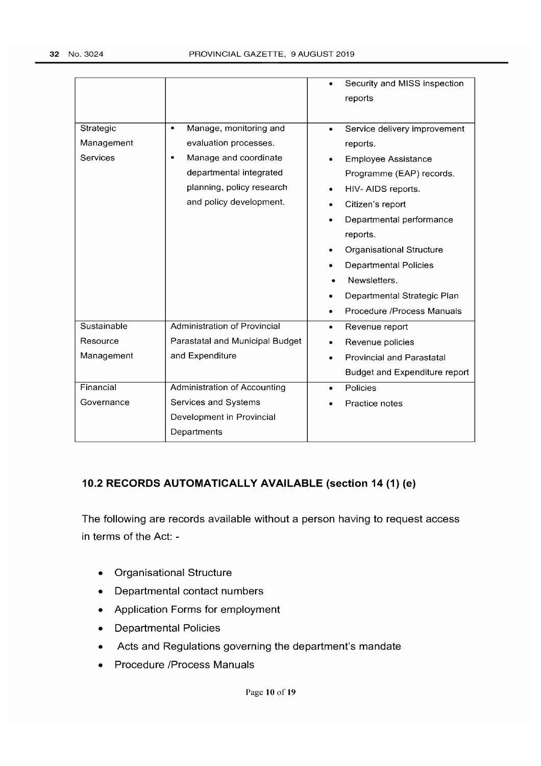|             |                                          | Security and MISS inspection              |
|-------------|------------------------------------------|-------------------------------------------|
|             |                                          | reports                                   |
|             |                                          |                                           |
| Strategic   | Manage, monitoring and<br>$\blacksquare$ | Service delivery improvement<br>$\bullet$ |
| Management  | evaluation processes.                    | reports.                                  |
| Services    | Manage and coordinate<br>п               | <b>Employee Assistance</b>                |
|             | departmental integrated                  | Programme (EAP) records.                  |
|             | planning, policy research                | HIV- AIDS reports.                        |
|             | and policy development.                  | Citizen's report                          |
|             |                                          | Departmental performance                  |
|             |                                          | reports.                                  |
|             |                                          | Organisational Structure<br>٠             |
|             |                                          | <b>Departmental Policies</b>              |
|             |                                          | Newsletters.                              |
|             |                                          | Departmental Strategic Plan               |
|             |                                          | Procedure /Process Manuals                |
| Sustainable | <b>Administration of Provincial</b>      | Revenue report<br>$\bullet$               |
| Resource    | Parastatal and Municipal Budget          | Revenue policies                          |
| Management  | and Expenditure                          | <b>Provincial and Parastatal</b>          |
|             |                                          | Budget and Expenditure report             |
| Financial   | Administration of Accounting             | Policies                                  |
| Governance  | Services and Systems                     | Practice notes                            |
|             | Development in Provincial                |                                           |
|             | Departments                              |                                           |

### **10.2 RECORDS AUTOMATICALLY AVAILABLE (section 14 (1) (e)**

The following are records available without a person having to request access in terms of the Act: -

- Organisational Structure
- Departmental contact numbers
- Application Forms for employment
- Departmental Policies
- Acts and Regulations governing the department's mandate
- Procedure /Process Manuals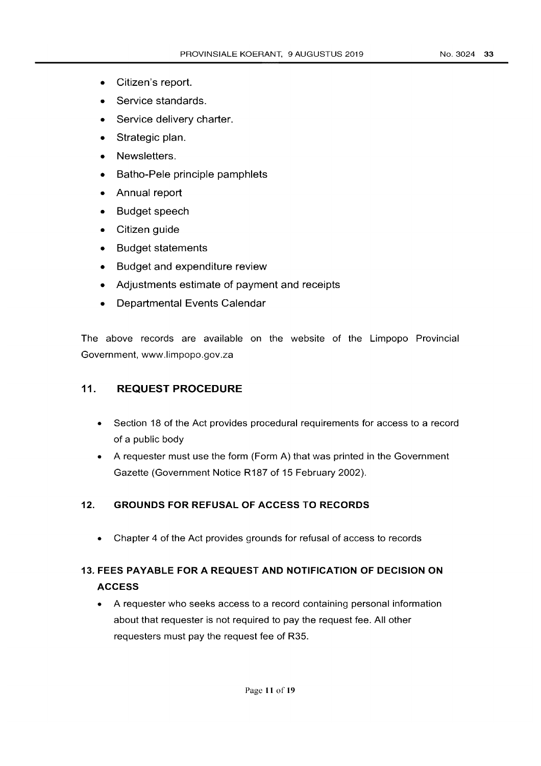- Citizen's report.
- Service standards.
- Service delivery charter.
- Strategic plan.
- Newsletters.
- Batho-Pele principle pamphlets
- Annual report
- Budget speech
- Citizen guide
- Budget statements
- Budget and expenditure review
- Adjustments estimate of payment and receipts
- Departmental Events Calendar

The above records are available on the website of the Limpopo Provincial Government, www.limpopo.gov.za

### **11. REQUEST PROCEDURE**

- Section 18 of the Act provides procedural requirements for access to a record of a public body
- A requester must use the form (Form A) that was printed in the Government Gazette (Government Notice R 187 of 15 February 2002).

### **12. GROUNDS FOR REFUSAL OF ACCESS TO RECORDS**

• Chapter 4 of the Act provides grounds for refusal of access to records

### **13. FEES PAYABLE FOR A REQUEST AND NOTIFICATION OF DECISION ON ACCESS**

• A requester who seeks access to a record containing personal information about that requester is not required to pay the request fee. All other requesters must pay the request fee of R35.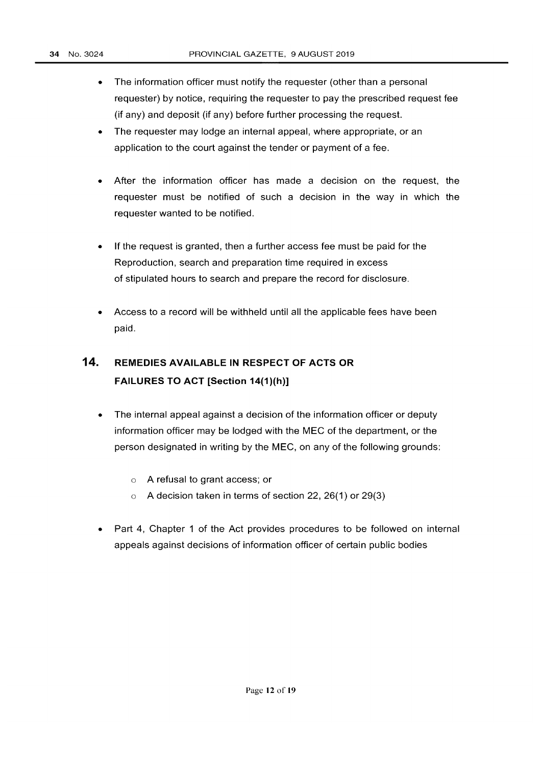- The information officer must notify the requester (other than a personal requester) by notice, requiring the requester to pay the prescribed request fee (if any) and deposit (if any) before further processing the request.
- The requester may lodge an internal appeal, where appropriate, or an application to the court against the tender or payment of a fee.
- After the information officer has made a decision on the request, the requester must be notified of such a decision in the way in which the requester wanted to be notified.
- If the request is granted, then a further access fee must be paid for the Reproduction, search and preparation time required in excess of stipulated hours to search and prepare the record for disclosure.
- Access to a record will be withheld until all the applicable fees have been paid.

### **14. REMEDIES AVAILABLE IN RESPECT OF ACTS OR FAILURES TO ACT [Section 14(1)(h)]**

- The internal appeal against a decision of the information officer or deputy information officer may be lodged with the MEC of the department, or the person designated in writing by the MEC, on any of the following grounds:
	- o A refusal to grant access; or
	- $\circ$  A decision taken in terms of section 22, 26(1) or 29(3)
- Part 4, Chapter 1 of the Act provides procedures to be followed on internal appeals against decisions of information officer of certain public bodies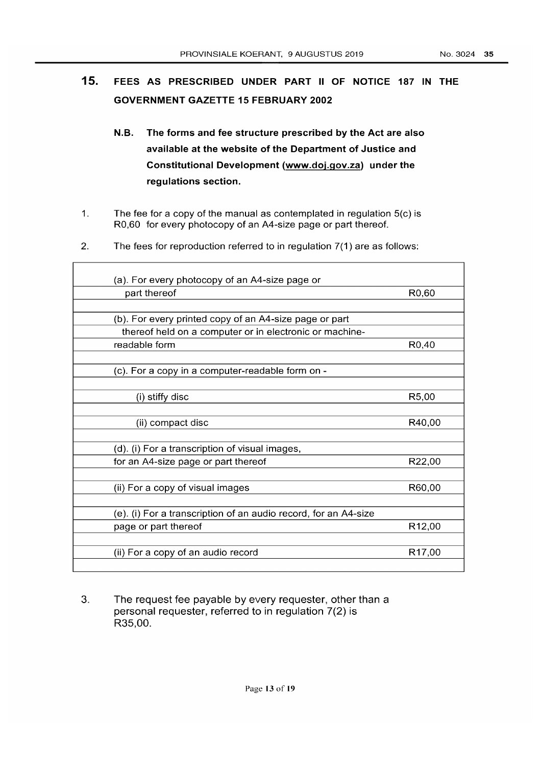## 15. FEES AS PRESCRIBED UNDER PART II OF NOTICE 187 IN THE GOVERNMENT GAZETTE 15 FEBRUARY 2002

- N.B. The forms and fee structure prescribed by the Act are also available at the website of the Department of Justice and Constitutional Development (www.doj.gov.za) under the regulations section.
- 1. The fee for a copy of the manual as contemplated in regulation 5(c) is RO,60 for every photocopy of an A4-size page or part thereof.
- 2. The fees for reproduction referred to in regulation 7(1) are as follows:

| (a). For every photocopy of an A4-size page or                  |                     |
|-----------------------------------------------------------------|---------------------|
| part thereof                                                    | R <sub>0</sub> ,60  |
|                                                                 |                     |
| (b). For every printed copy of an A4-size page or part          |                     |
| thereof held on a computer or in electronic or machine-         |                     |
| readable form                                                   | R <sub>0</sub> ,40  |
|                                                                 |                     |
| (c). For a copy in a computer-readable form on -                |                     |
|                                                                 |                     |
| (i) stiffy disc                                                 | R <sub>5</sub> ,00  |
|                                                                 |                     |
| (ii) compact disc                                               | R40,00              |
|                                                                 |                     |
| (d). (i) For a transcription of visual images,                  |                     |
| for an A4-size page or part thereof                             | R22,00              |
|                                                                 |                     |
| (ii) For a copy of visual images                                | R60,00              |
|                                                                 |                     |
| (e). (i) For a transcription of an audio record, for an A4-size |                     |
| page or part thereof                                            | R <sub>12</sub> ,00 |
|                                                                 |                     |
| (ii) For a copy of an audio record                              | R <sub>17,00</sub>  |
|                                                                 |                     |

3. The request fee payable by every requester, other than a personal requester, referred to in regulation 7(2) is R35,OO.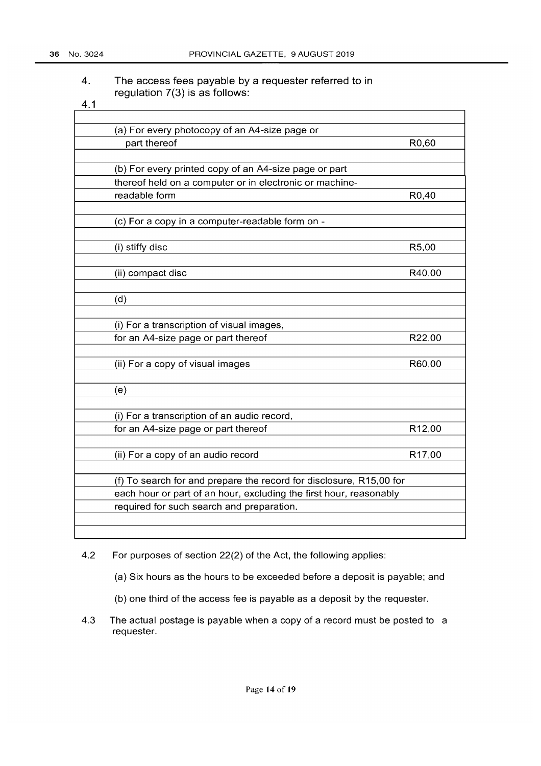#### 4. The access fees payable by a requester referred to in regulation 7(3) is as follows:

| 4.1 |                                                                     |        |
|-----|---------------------------------------------------------------------|--------|
|     |                                                                     |        |
|     | (a) For every photocopy of an A4-size page or                       |        |
|     | part thereof                                                        | R0,60  |
|     |                                                                     |        |
|     | (b) For every printed copy of an A4-size page or part               |        |
|     | thereof held on a computer or in electronic or machine-             |        |
|     | readable form                                                       | R0,40  |
|     |                                                                     |        |
|     | (c) For a copy in a computer-readable form on -                     |        |
|     |                                                                     |        |
|     | (i) stiffy disc                                                     | R5,00  |
|     |                                                                     |        |
|     | (ii) compact disc                                                   | R40,00 |
|     |                                                                     |        |
|     | (d)                                                                 |        |
|     |                                                                     |        |
|     | (i) For a transcription of visual images,                           |        |
|     | for an A4-size page or part thereof                                 | R22,00 |
|     |                                                                     |        |
|     | (ii) For a copy of visual images                                    | R60,00 |
|     |                                                                     |        |
|     | (e)                                                                 |        |
|     |                                                                     |        |
|     | (i) For a transcription of an audio record,                         |        |
|     | for an A4-size page or part thereof                                 | R12,00 |
|     |                                                                     |        |
|     | (ii) For a copy of an audio record                                  | R17,00 |
|     |                                                                     |        |
|     | (f) To search for and prepare the record for disclosure, R15,00 for |        |
|     | each hour or part of an hour, excluding the first hour, reasonably  |        |
|     | required for such search and preparation.                           |        |
|     |                                                                     |        |
|     |                                                                     |        |

- 4.2 For purposes of section 22(2) of the Act, the following applies:
	- (a) Six hours as the hours to be exceeded before a deposit is payable; and
	- (b) one third of the access fee is payable as a deposit by the requester.
- 4.3 The actual postage is payable when a copy of a record must be posted to a requester.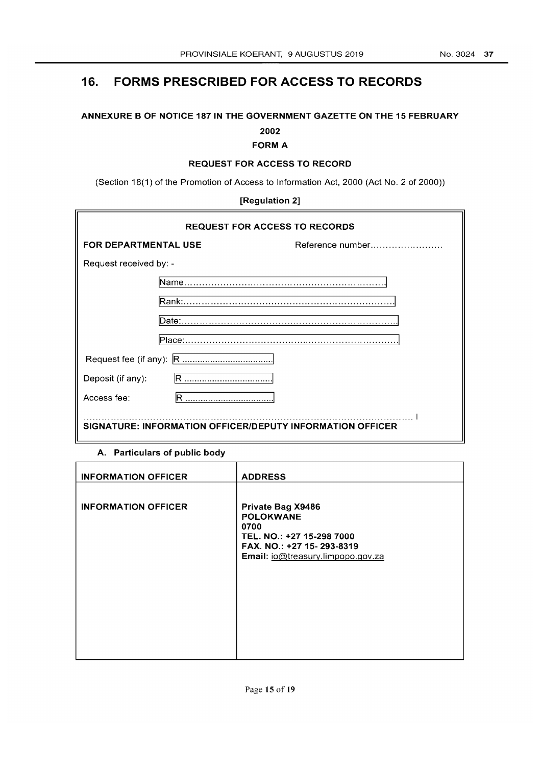### **16. FORMS PRESCRIBED FOR ACCESS TO RECORDS**

#### **ANNEXURE B OF NOTICE 1871N THE GOVERNMENT GAZETTE ON THE 15 FEBRUARY**

**2002** 

**FORMA** 

#### **REQUEST FOR ACCESS TO RECORD**

(Section 18(1) of the Promotion of Access to Information Act, 2000 (Act No.2 of 2000))

|                        |         | <b>REQUEST FOR ACCESS TO RECORDS</b> |
|------------------------|---------|--------------------------------------|
| FOR DEPARTMENTAL USE   |         | Reference number                     |
| Request received by: - |         |                                      |
|                        | Name    |                                      |
|                        | Rank:.  |                                      |
|                        | lDate:. |                                      |
|                        | Place:  |                                      |
|                        |         |                                      |
| Deposit (if any):      |         |                                      |
| Access fee:            |         |                                      |

#### **A. Particulars of public body**

| <b>INFORMATION OFFICER</b> | <b>ADDRESS</b>                                         |
|----------------------------|--------------------------------------------------------|
| <b>INFORMATION OFFICER</b> | Private Bag X9486                                      |
|                            | <b>POLOKWANE</b><br>0700                               |
|                            | TEL. NO.: +27 15-298 7000<br>FAX. NO.: +27 15-293-8319 |
|                            | Email: io@treasury.limpopo.gov.za                      |
|                            |                                                        |
|                            |                                                        |
|                            |                                                        |
|                            |                                                        |
|                            |                                                        |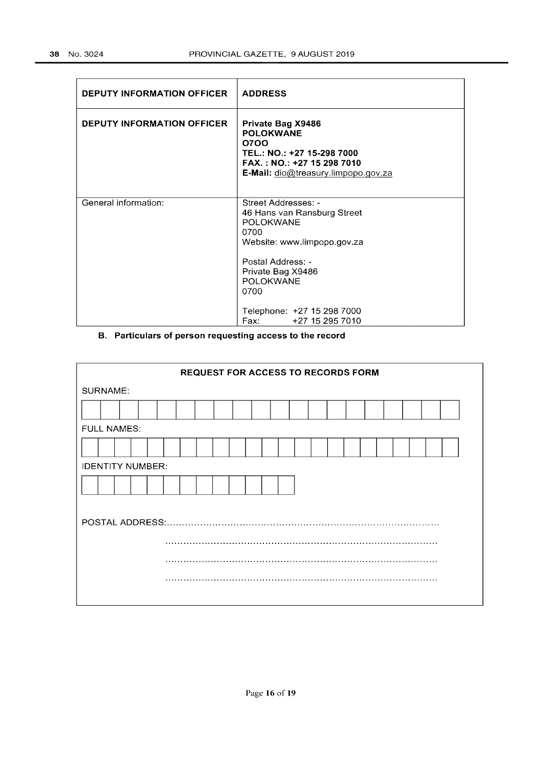| <b>DEPUTY INFORMATION OFFICER</b> | <b>ADDRESS</b>                                                                                                                                                                                                                               |
|-----------------------------------|----------------------------------------------------------------------------------------------------------------------------------------------------------------------------------------------------------------------------------------------|
| <b>DEPUTY INFORMATION OFFICER</b> | Private Bag X9486<br><b>POLOKWANE</b><br>0700<br>TEL.: NO.: +27 15-298 7000<br>FAX: NO.: +27 15 298 7010<br><b>E-Mail:</b> $di \circ \textcircled{a}$ treasury.limpopo.gov.za                                                                |
| General information:              | Street Addresses: -<br>46 Hans van Ransburg Street<br><b>POLOKWANE</b><br>0700<br>Website: www.limpopo.gov.za<br>Postal Address: -<br>Private Bag X9486<br><b>POLOKWANE</b><br>0700<br>Telephone: +27 15 298 7000<br>Fax:<br>+27 15 295 7010 |

#### B. Particulars of person requesting access to the record

| <b>REQUEST FOR ACCESS TO RECORDS FORM</b> |  |  |  |  |  |  |  |  |  |  |
|-------------------------------------------|--|--|--|--|--|--|--|--|--|--|
| SURNAME:                                  |  |  |  |  |  |  |  |  |  |  |
|                                           |  |  |  |  |  |  |  |  |  |  |
| <b>FULL NAMES:</b>                        |  |  |  |  |  |  |  |  |  |  |
|                                           |  |  |  |  |  |  |  |  |  |  |
| <b>IDENTITY NUMBER:</b>                   |  |  |  |  |  |  |  |  |  |  |
|                                           |  |  |  |  |  |  |  |  |  |  |
| POSTAL ADDRESS:                           |  |  |  |  |  |  |  |  |  |  |
|                                           |  |  |  |  |  |  |  |  |  |  |
|                                           |  |  |  |  |  |  |  |  |  |  |
|                                           |  |  |  |  |  |  |  |  |  |  |
|                                           |  |  |  |  |  |  |  |  |  |  |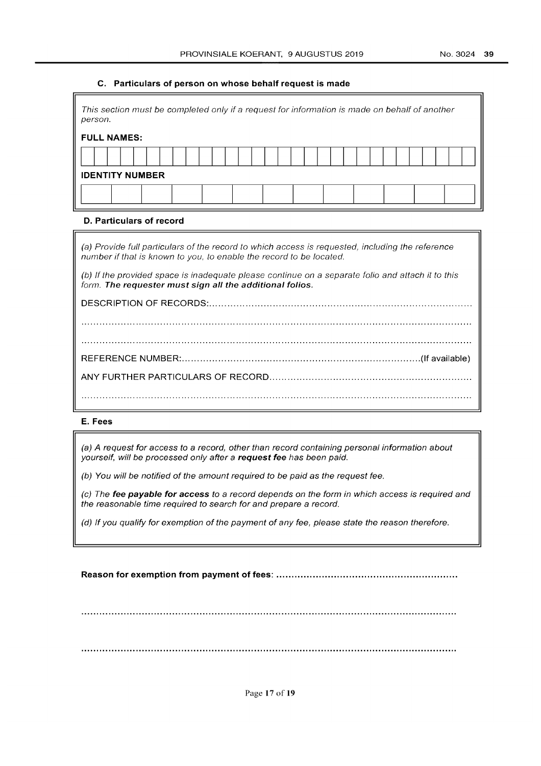#### C. Particulars of person on whose behalf request is made

| This section must be completed only if a request for information is made on behalf of another<br>person. |  |  |  |  |  |
|----------------------------------------------------------------------------------------------------------|--|--|--|--|--|
| <b>FULL NAMES:</b>                                                                                       |  |  |  |  |  |
|                                                                                                          |  |  |  |  |  |
| <b>IDENTITY NUMBER</b>                                                                                   |  |  |  |  |  |
|                                                                                                          |  |  |  |  |  |

#### D. Particulars of record

(a) Provide full particulars of the record to which access is requested, including the reference number if that is known to you, to enable the record to be located. (b) If the provided space is inadequate please continue on a separate folio and attach *it* to this form. The requester must sign all the additional folios. DESCRIPTION OF RECORDS: ...................................................................................... . REFERENCE NUMBER: ............................................................................... (If available) ANY FURTHER PARTICULARS OF RECORD.........................

#### E. Fees

(a) A request for access to a record, other than record containing personal information about yourself, will be processed only after a request fee has been paid.

(b) You will be notified of the amount required to be paid as the request fee.

(c) The fee payable for access to a record depends on the form in which access is required and the reasonable time required to search for and prepare a record.

(d) If you qualify for exemption of the payment of any fee, please state the reason therefore.

Reason for exemption from payment of fees: .......................................................... ..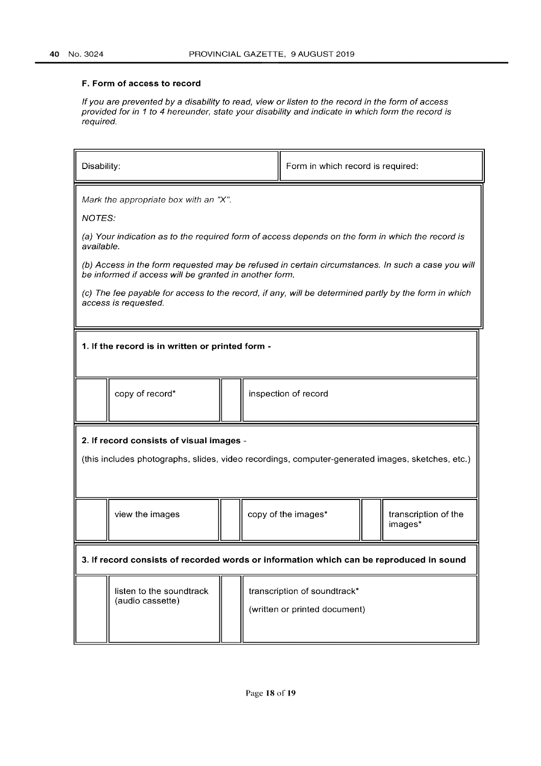#### **F. Form of access to record**

If you are prevented by a disability to read, view or listen to the record in the form of access provided for in 1 to 4 hereunder, state your disability and indicate in which form the record is required.

| Disability:                                                                                                                                                                                                                                                                                                                                                                                                                                                             |                                                                                                                                              | Form in which record is required:                             |                     |  |                                 |
|-------------------------------------------------------------------------------------------------------------------------------------------------------------------------------------------------------------------------------------------------------------------------------------------------------------------------------------------------------------------------------------------------------------------------------------------------------------------------|----------------------------------------------------------------------------------------------------------------------------------------------|---------------------------------------------------------------|---------------------|--|---------------------------------|
| Mark the appropriate box with an "X".<br><b>NOTES:</b><br>(a) Your indication as to the required form of access depends on the form in which the record is<br>available.<br>(b) Access in the form requested may be refused in certain circumstances. In such a case you will<br>be informed if access will be granted in another form.<br>(c) The fee payable for access to the record, if any, will be determined partly by the form in which<br>access is requested. |                                                                                                                                              |                                                               |                     |  |                                 |
|                                                                                                                                                                                                                                                                                                                                                                                                                                                                         | 1. If the record is in written or printed form -                                                                                             |                                                               |                     |  |                                 |
|                                                                                                                                                                                                                                                                                                                                                                                                                                                                         | copy of record*<br>inspection of record                                                                                                      |                                                               |                     |  |                                 |
|                                                                                                                                                                                                                                                                                                                                                                                                                                                                         | 2. If record consists of visual images -<br>(this includes photographs, slides, video recordings, computer-generated images, sketches, etc.) |                                                               |                     |  |                                 |
|                                                                                                                                                                                                                                                                                                                                                                                                                                                                         | view the images                                                                                                                              |                                                               | copy of the images* |  | transcription of the<br>images* |
| 3. If record consists of recorded words or information which can be reproduced in sound                                                                                                                                                                                                                                                                                                                                                                                 |                                                                                                                                              |                                                               |                     |  |                                 |
|                                                                                                                                                                                                                                                                                                                                                                                                                                                                         | listen to the soundtrack<br>(audio cassette)                                                                                                 | transcription of soundtrack*<br>(written or printed document) |                     |  |                                 |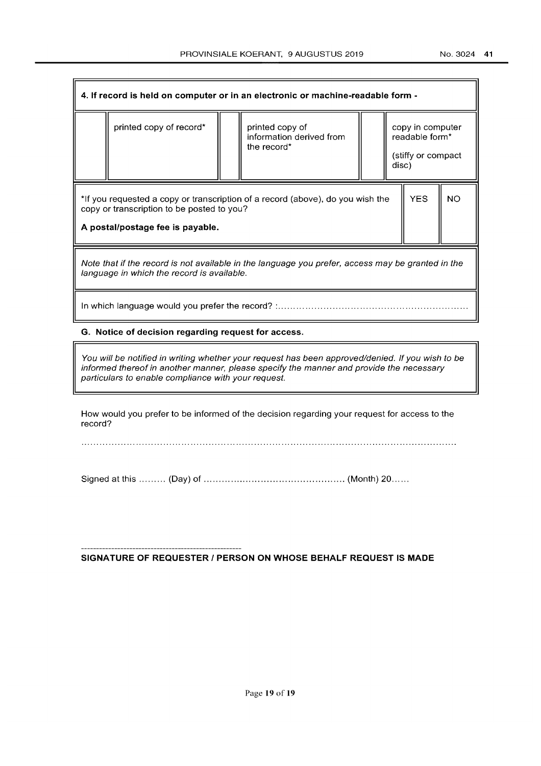$\overline{a}$ 

 $\blacksquare$ 

| 4. If record is held on computer or in an electronic or machine-readable form -                                                                                                             |                         |  |                                                            |  |       |                                                          |  |
|---------------------------------------------------------------------------------------------------------------------------------------------------------------------------------------------|-------------------------|--|------------------------------------------------------------|--|-------|----------------------------------------------------------|--|
|                                                                                                                                                                                             | printed copy of record* |  | printed copy of<br>information derived from<br>the record* |  | disc) | copy in computer<br>readable form*<br>(stiffy or compact |  |
| <b>YES</b><br><b>NO</b><br>*If you requested a copy or transcription of a record (above), do you wish the<br>copy or transcription to be posted to you?<br>A postal/postage fee is payable. |                         |  |                                                            |  |       |                                                          |  |
| Note that if the record is not available in the language you prefer, access may be granted in the<br>language in which the record is available.                                             |                         |  |                                                            |  |       |                                                          |  |
|                                                                                                                                                                                             |                         |  |                                                            |  |       |                                                          |  |
| G. Notice of decision regarding request for access.                                                                                                                                         |                         |  |                                                            |  |       |                                                          |  |
| You will be notified in writing whether your request has been approved/denied. If you wish to be<br>informed thereof in another manner, please specify the manner and provide the necessary |                         |  |                                                            |  |       |                                                          |  |

informed thereof in another manner, please specify the manner and provide the necessary particulars to enable compliance with your request.

How would you prefer to be informed of the decision regarding your request for access to the record?

Signed at this ......... (Day) of ............................................... (Month) 20 ..... .

SIGNATURE OF REQUESTER / PERSON ON WHOSE BEHALF REQUEST IS MADE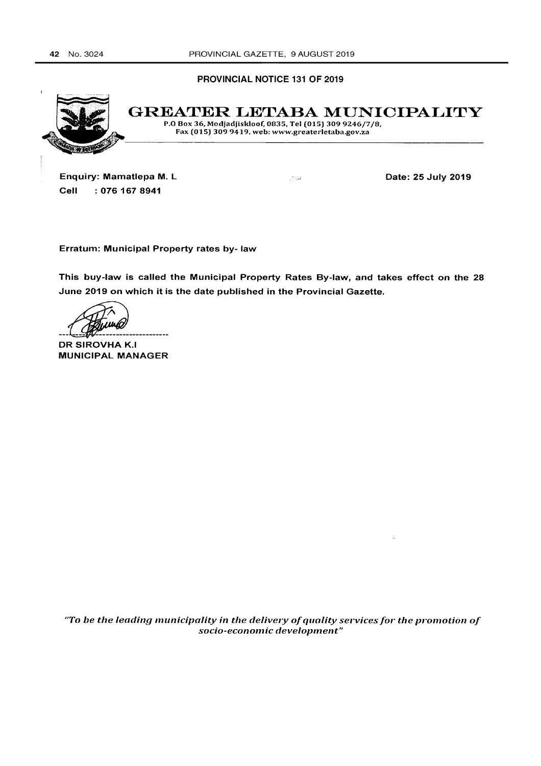PROVINCIAL NOTICE 131 OF 2019



GREATER LETABA MUNICIPALITY P.O Box 36, Modjadjisldoof, 0835. Tel (015) 3099246/7/8.

Fax (015) 3099419. web: www.greaterletaba.gov.za

Enquiry: Mamatlepa M. L Date: 25 July 2019 Cell : 076 167 8941

Erratum: Municipal Property rates by- law

This buy-law is called the Municipal Property Rates By-law, and takes effect on the 28 June 2019 on which it is the date published in the Provincial Gazette.

---<del>-------------------------</del>-----

DR 51 ROVHA K.I MUNICIPAL MANAGER

*"To be the leading municipality in the delivery of quality services for the promotion of socio-econornic development"*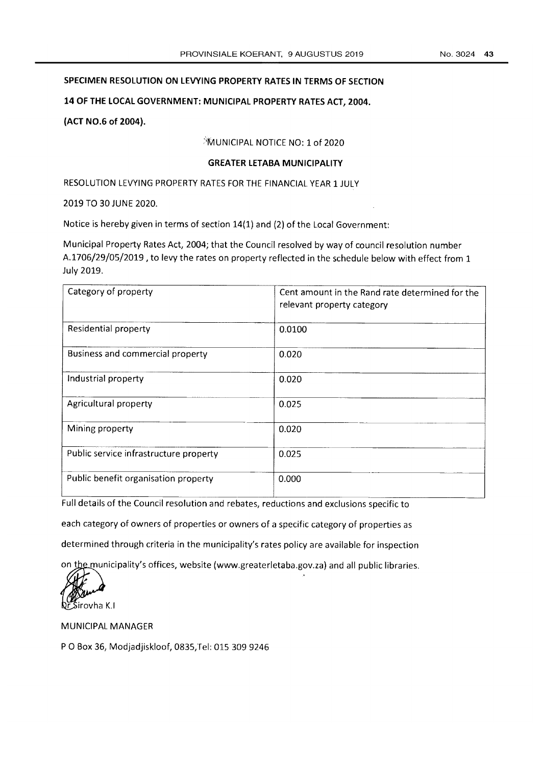#### **SPECIMEN RESOLUTION ON LEVYING PROPERTY RATES IN TERMS OF SECTION**

**14 OF THE LOCAL GOVERNMENT: MUNICIPAL PROPERTY RATES ACT, 2004.** 

**(ACT NO.6 of 2004).** 

MUNICIPAL NOTICE NO: 1 of 2020

#### **GREATER LETABA MUNICIPALITY**

RESOLUTION LEVYING PROPERTY RATES FOR THE FINANCIAL YEAR 1 JULY

2019 TO 30 JUNE 2020.

Notice is hereby given in terms of section 14(1) and (2) of the Local Government:

Municipal Property Rates Act, 2004; that the Council resolved by way of council resolution number A.1706/29/05/2019 , to levy the rates on property reflected in the schedule below with effect from 1 July 2019.

| Category of property                   | Cent amount in the Rand rate determined for the<br>relevant property category |
|----------------------------------------|-------------------------------------------------------------------------------|
| Residential property                   | 0.0100                                                                        |
| Business and commercial property       | 0.020                                                                         |
| Industrial property                    | 0.020                                                                         |
| Agricultural property                  | 0.025                                                                         |
| Mining property                        | 0.020                                                                         |
| Public service infrastructure property | 0.025                                                                         |
| Public benefit organisation property   | 0.000                                                                         |

Full details of the Council resolution and rebates, reductions and exclusions specific to

each category of owners of properties or owners of a specific category of properties as

determined through criteria in the municipality's rates policy are available for inspection

on the municipality's offices, website (www.greaterletaba.gov.za) and all public libraries.

Sirovha K.I

MUNICIPAL MANAGER

POBox 36, Modjadjiskloof, 0835,Tel: 0153099246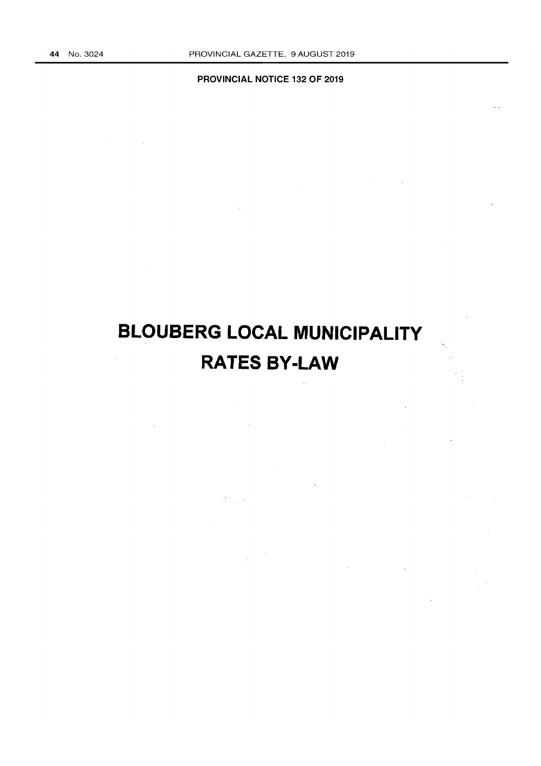**PROVINCIAL NOTICE** 132 **OF** 2019

 $\ddot{\phantom{a}}$ 

# **BLOUBERG LOCAL MUNICIPALITY RATES BY-LAW**

 $\ddot{\phantom{a}}$ 

 $\mathcal{L}^{\text{max}}_{\text{max}}$  ,  $\mathcal{L}^{\text{max}}_{\text{max}}$ 

 $\label{eq:2.1} \mathcal{F}_{\mathcal{G}}(x) = \mathcal{F}_{\mathcal{G}}(x) \mathcal{F}_{\mathcal{G}}(x)$ 

 $\sim$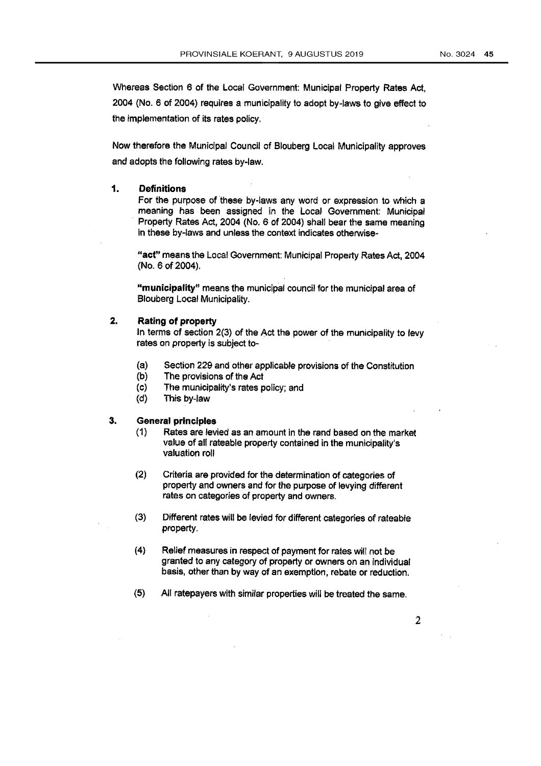Whereas Section 6 of the Local Government: Municipal Property Rates Act, 2004 (No.6 of 2004) requires a municipality to adopt by~laws to give effect to the implementation of its rates policy.

Now therefore the Municipal Council of Blouberg Local Municipality approves and adopts the following rates by-law.

#### 1. Definitions

For the purpose of these by-laws any word or expression to which a meaning has been assigned in the Local Government: Municipal Property Rates Act, 2004 (No.6 of 2004) shall bear the same meaning in these by-laws and unless the context indicates otherwise-

"act" means the Local Government: Municipal Property Rates Act, 2004 (No.6 of 2004).

"municipality" means the municipal council for the municipal area of Blouberg Local Municipality.

#### 2. Rating of property

In terms of section 2(3) of the Act the power of the municipality to levy rates on property is subject to-

- (a) Section 229 and other applicable provisions of the Constitution<br>(b) The provisions of the Act
- The provisions of the Act
- (c) The municipality's rates policy; and
- (d) This by-law

#### 3. General principles

- (1) Rates are levied as an amount in the rand based on the market value of all rateable property contained in the municipality's valuation roll
- (2) Criteria are provided for the determination of categories of property and owners and for the purpose of levying different rales on categories of property and owners.
- (3) Different rates will be levied for different categories of rateable property.
- (4) Relief measures in respect of payment for rates will not be granted to any category of property or owners on an individual basis, other than by way of an exemption, rebate or reduction.
- (5) All ratepayers with similar properties will be treated the same.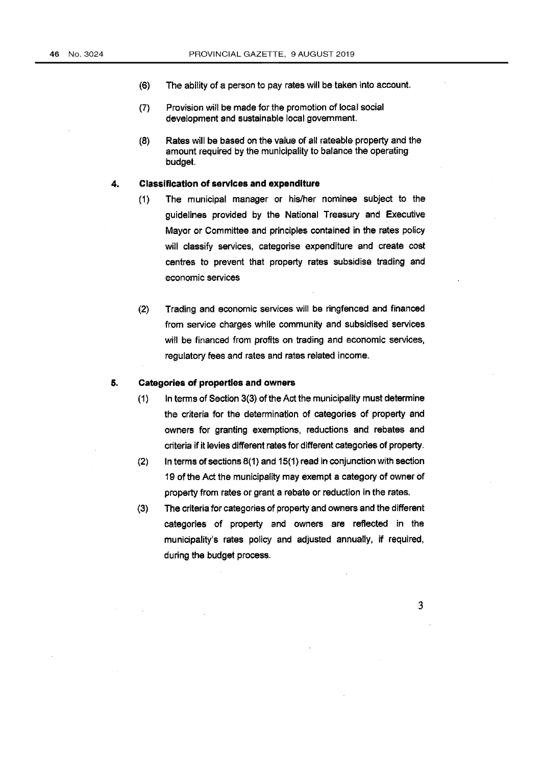- (6) The ability of a person to pay rates will be taken into account.
- (7) Provision will be made for the promotion of local social development and sustainable local government.
- (8) Rates will be based on the value of all rateable property and the amount required by the municipality to balance the operating budget.

#### 4. Classification of services and expenditure

- (1) The municipal manager or his/her nominee subject to the guidelines provided by the National Treasury and Executive Mayor or Committee and principles contained in the rates policy will classify services, categorise expenditure and create cost centres to prevent that property rates subsidise trading and economic services
- (2) Trading and economic services will be ringfenced and financed from service charges while community and subsidised services will be financed from profits on trading and economic services, regulatory fees and rates and rates related income.

#### 5. Categories of properties and owners

- (1) In terms of Section 3(3) of the Act the municipality must determine the criteria for the determination of categories of property and owners for granting exemptions, reductions and rebates and criteria if it levies different rates for different categories of property.
- (2) In terms of sections 8(1) and 15(1) read in conjunction with section 19 of the Act the municipality may exempt a category of owner of property from rates or grant a rebate or reduction in the rates.
- (3) The criteria for categories of property and owners and the different categories of property and owners are reflected in the municipality's rates policy and adjusted annually, if required, during the budget process.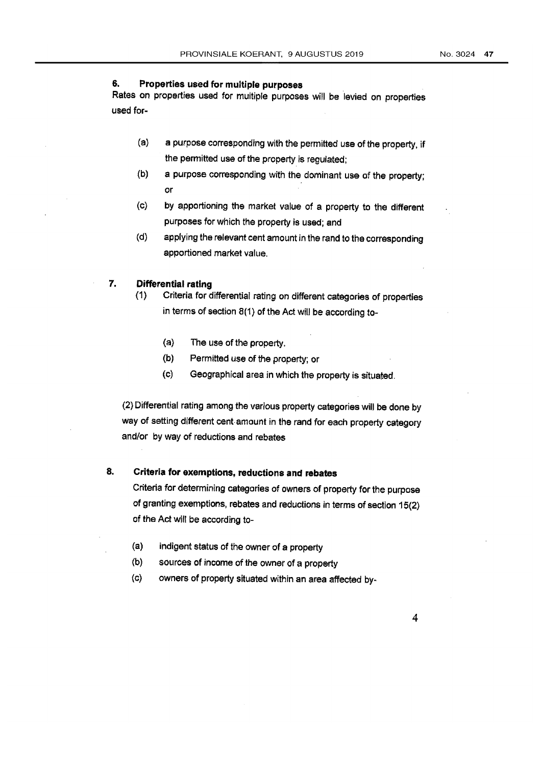#### 6. Properties used for multiple purposes

Rates on properties used for multiple purposes will be levied on properties used for-

- (a) a purpose corresponding with the permitted use of the property, if the permitted use of the property is regulated;
- (b) a purpose corresponding with the dominant use of the property; or
- (c) by apportioning the market value of a property to the different purposes for which the property is used; and
- (d) applying the relevant cent amount in the rand to the corresponding apportioned market value.

#### 7. Differential rating

- (1) Criteria for differential rating on different categories of properties in terms of section 8(1) of the Act will be according to-
	- (a) The use of the property.
	- (b) Permitted use of the property; or
	- (c) Geographical area in which the property is situated.

(2) Differential rating among the various property categories will be done by way of setting different cent amount in the rand for each property category and/or by way of reductions and rebates

#### 8. Criteria for exemptions, reductions and rebates

Criteria for determining categories of owners of property for the purpose of granting exemptions, rebates and reductions in terms of section 15(2) of the Act will be according to-

- (a) indigent status of the owner of a property
- (b) sources of income of the owner of a property
- (c) owners of property situated within an area affected by-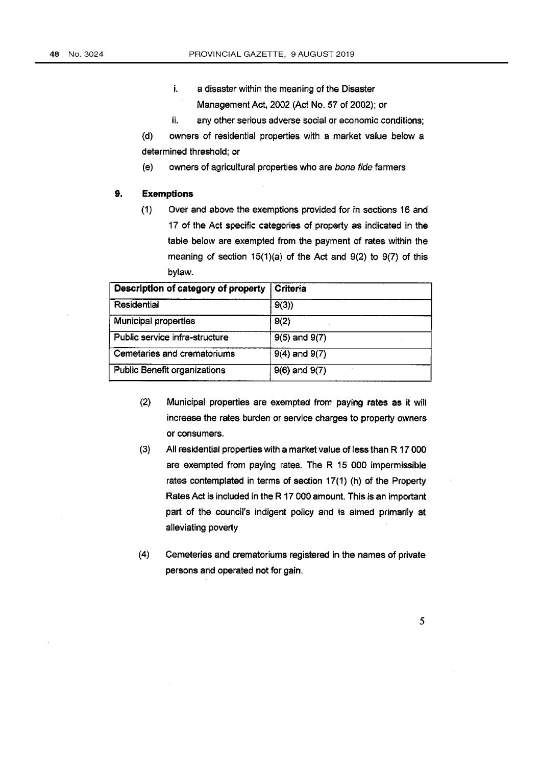- i. a disaster within the meaning of the Disaster
	- Management Act, 2002 (Act No. 57 of 2002); or
- ii. any other serious adverse social or economic conditions;

(d) owners of residential properties with a market value below a determined threshold; or

(e) owners of agricultural properties who are bona fide farmers

#### 9. Exemptions

(1) Over and above the exemptions provided for in sections 16 and 17 of the Act specific categories of property as indicated in the table below are exempted from the payment of rates within the meaning of section  $15(1)(a)$  of the Act and  $9(2)$  to  $9(7)$  of this bylaw.

| Description of category of property | Criteria          |
|-------------------------------------|-------------------|
| Residential                         | 9(3)              |
| <b>Municipal properties</b>         | 9(2)              |
| Public service infra-structure      | $9(5)$ and $9(7)$ |
| Cemetaries and crematoriums         | $9(4)$ and $9(7)$ |
| <b>Public Benefit organizations</b> | $9(6)$ and $9(7)$ |

- (2) Municipal properties are exempted from paying rates as it will increase the rates burden or service charges to property owners or consumers.
- (3) All residential properties with a market value of less than R 17 000 are exempted from paying rates. The R 15 000 impermissible rates contemplated in terms of section 17(1) (h) of the Property Rates Act is included in the R 17000 amount. This is an important part of the council's indigent policy and is aimed primarily at alleviating poverty
- (4) Cemeteries and crematoriums registered in the names of private persons and operated not for gain.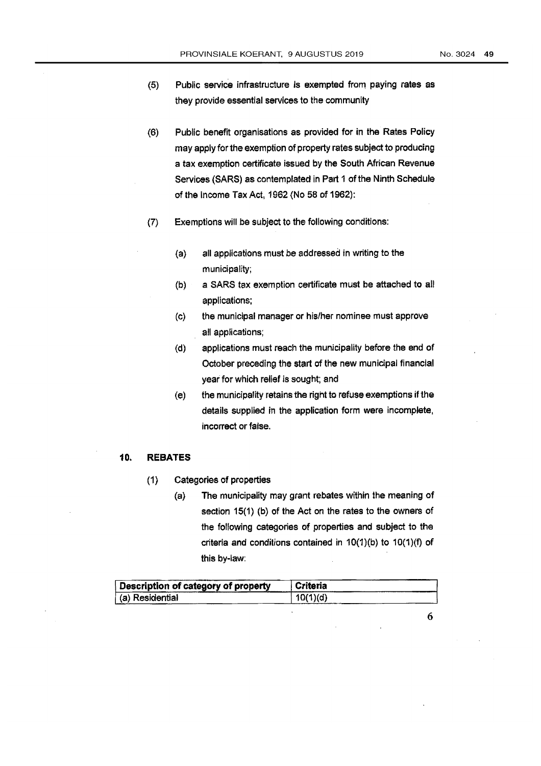- (5) Public service infrastructure Is exempted from paying rates as they provide essential services to the community
- (6) Public benefit organisations as provided for in the Rates Policy may apply for the exemption of property rates subject to producing a tax exemption certificate issued by the South African Revenue Services (SARS) as contemplated in Part 1 of the Ninth Schedule of the Income Tax Act. 1962 (No 58 of 1962):
- (7) Exemptions will be subject to the following conditions:
	- (a) all applications must be addressed in writing to the municipality;
	- (b) a SARS tax exemption certificate must be attached to all applications;
	- (c) the municipal manager or his/her nominee must approve all applications;
	- (d) applications must reach the municipality before the end of October preceding the start of the new municipal financial year for which relief is sought; and
	- (e) the municipality retains the right to refuse exemptions ifthe details supplied in the application form were incomplete. incorrect or false.

#### 10. REBATES

- (1) Categories of properties
	- (a) The municipality may grant rebates within the meaning of section 15(1) (b) of the Act on the rates to the owners of the following categories of properties and subject to the criteria and conditions contained in 10(1)(b} to 10(1)(f) of this by-law:

| Description of category of property | Criteria      |
|-------------------------------------|---------------|
| (a) Residential                     | ) (di<br>10(1 |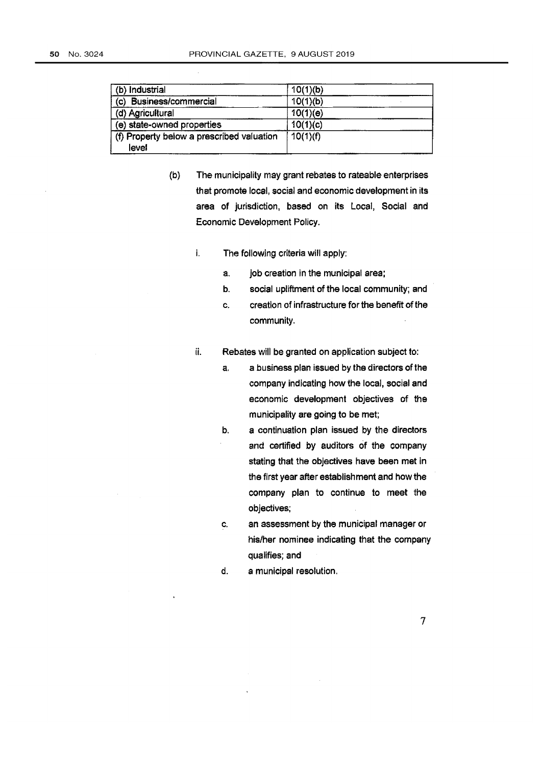| (b) Industrial                                     | 10(1)(b) |
|----------------------------------------------------|----------|
| Business/commercial<br>$\mathcal{L}$               | 10(1)(b) |
| (d) Agricultural                                   | 10(1)(e) |
| (e) state-owned properties                         | 10(1)(c) |
| (f) Property below a prescribed valuation<br>level | 10(1)(f) |

- (b) The municipality may grant rebates to rateable enterprises that promote local, social and economic development in its area of jurisdiction, based on its Local, Social and Economic Development Policy.
	- i. The following criteria will apply:
		- a. job creation in the municipal area;
		- b. social upliftment of the local community; and
		- c. creation of infrastructure for the benefit of the community.
	- ii. Rebates will be granted on application subject to:
		- a, a business plan issued by the directors of the company indicating how the local, social and economic development objectives of the municipality are going to be met;
		- b. a continuation plan issued by the directors and certified by auditors of the company stating that the objectives have been met in the first year after establishment and how the company plan to continue to meet the objectives;
		- c. an assessment by the municipal manager or his/her nominee indicating that the company qualifies; and
		- d. a municipal resolution.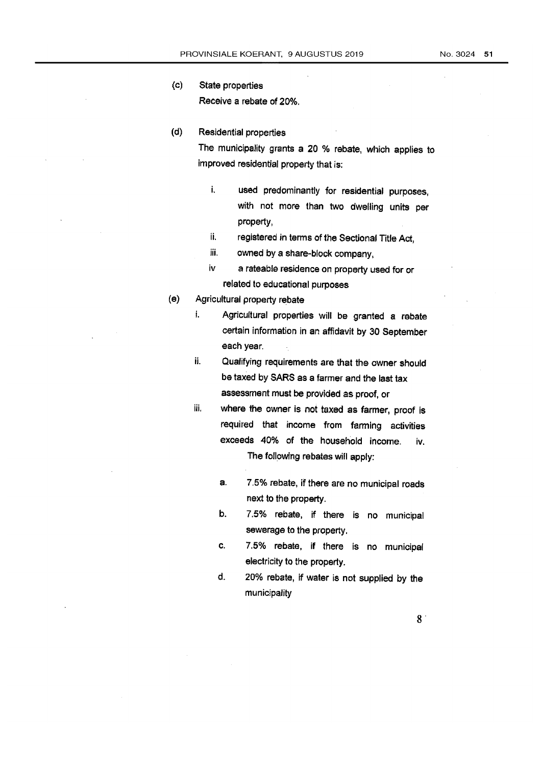- (c) State properties Receive a rebate of 20%.
- (d) Residential properties

The municipality grants a 20 % rebate, which applies to improved residential property that is:

- i. used predominantly for residential purposes, with not more than two dwelling units per property,
- ii. registered in terms of the Sectional Title Act,
- iii. owned by a share-block company,
- iv a rateable residence on property used for or related to educational purposes

#### (e) Agricultural property rebate

- i. Agricultural properties will be granted a rebate certain information in an affidavit by 30 September each year.
- ii. Qualifying requirements are that the owner should be taxed by SARS as a farmer and the last tax assessment must be provided as proof, or
- iii. where the owner is not taxed as farmer, proof is required that income from farming activities exceeds 40% of the household income. iv. The following rebates will apply:
	- a. 7.5% rebate, if there are no municipal roads next to the property.
	- b. 7.5% rebate, if there is no municipal sewerage to the property,
	- c. 7.5% rebate, if there is no municipal electricity to the property.
	- d. 20% rebate, if water is not supplied by the municipality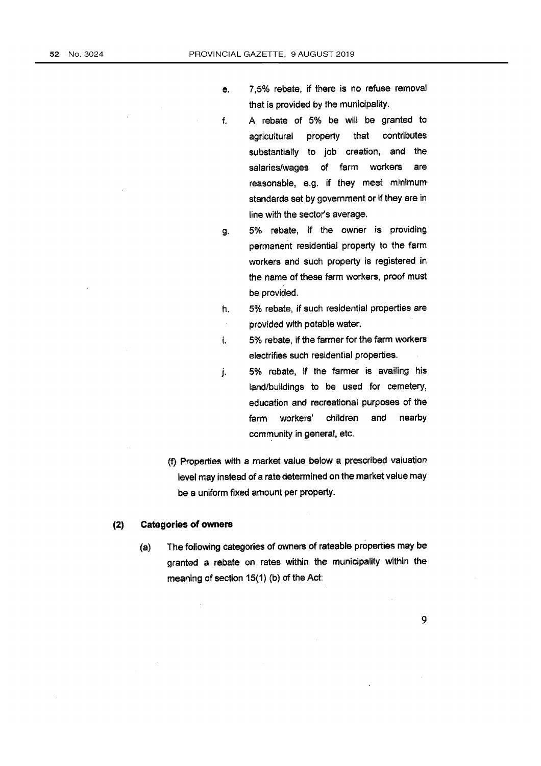- e. 7,5% rebate, if there is no refuse removal that is provided by the municipality.
- f. A rebate of 5% be will be granted to agricultural property that contributes substantially to job creation, and the salaries/wages of farm workers are reasonable, e.g. if they meet minimum standards set by government or if they are in line with the sector's average.
- g. 5% rebate, jf the owner is providing permanent residential property to the farm workers and such property is registered in the name of these farm workers, proof must be provided.
- h. 5% rebate, if such residential properties are provided with potable water.
- i. 5% rebate, if the farmer for the farm workers electrifies such residential properties.
- j. 5% rebate, if the farmer is availing his land/buildings to be used for cemetery, education and recreational purposes of the farm workers' children and nearby community in general, etc.
- (f) Properties with a market value below a prescribed valuation level may instead of a rate determined on the market value may be a uniform fixed amount per property.

#### **(2) Categories of owners**

(a) The following categories of owners of rateable properties may be granted a rebate on rates within the municipality within the meaning of section  $15(1)$  (b) of the Act: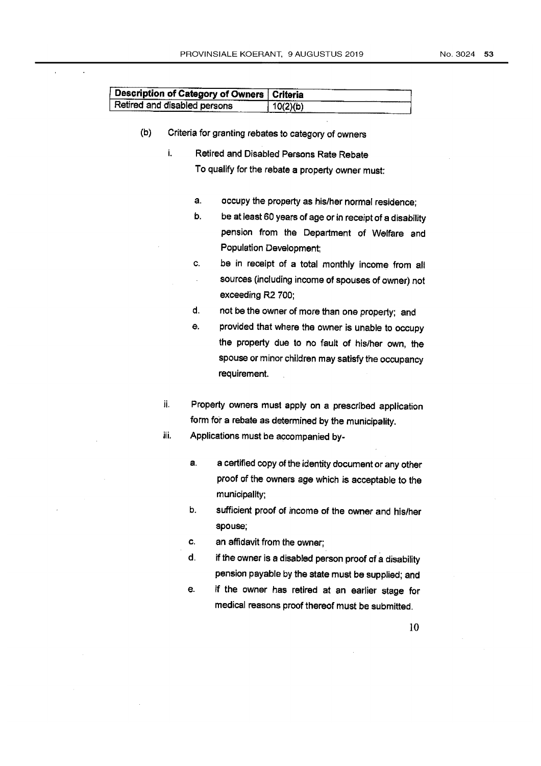| Description of Category of Owners   Criteria |          |
|----------------------------------------------|----------|
| Retired and disabled persons                 | 10(2)(b) |

(b) Criteria for granting rebates to category of owners

 $\overline{a}$ 

- i. Retired and Disabled Persons Rate Rebate To qualify for the rebate a property owner must:
	- a, occupy the property as his/her normal residence;
	- b. be at least 60 years of age or in receipt of a disability pension from the Department of Welfare and Population Development;
	- c. be in receipt of a total monthly income from all sources (including income of spouses of owner) not exceeding R2 700;
	- d. not be the owner of more than one property; and
	- e. provided that where the owner is unable to occupy the property due to no fault of his/her own, the spouse or minor children may satisfy the occupancy requirement.
- ii. Property owners must apply on a prescribed application form for a rebate as determined by the municipality.

iii. Applications must be accompanied by-

- a. a certified copy of the identity document or any other proof of the owners age which is acceptable to the municipality;
- b. sufficient proof of income of the owner and his/her spouse;
- c. an affidavit from the owner;
- d. if the owner is a disabled person proof of a disability pension payable by the state must be supplied; and
- e. if the owner has retired at an earlier stage for medical reasons proof thereof must be submitted.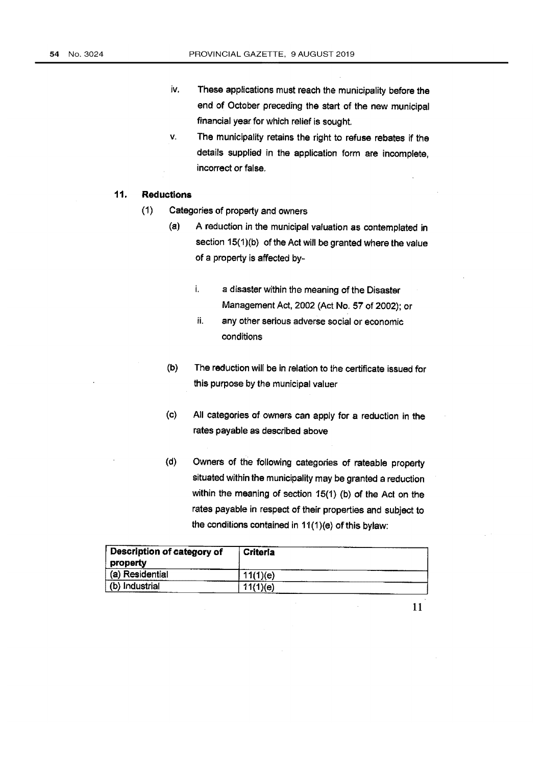- iv, These applications must reach the municipality before the end of October preceding the start of the new municipal financial year for which relief is sought.
- v. The municipality retains the right to refuse rebates if the details supplied in the application form are incomplete, incorrect or false.

#### 11. Reductions

- (1) Categories of property and owners
	- (a) A reduction in the municipal valuation as contemplated in section 15(1)(b) of the Act will be granted where the value of a property is affected by
		- i. a disaster within the meaning of the Disaster Management Act, 2002 (Act No. 57 of 2002): or
		- ii. any other serious adverse social or economic conditions
	- (b) The reduction will be in relation to the certificate issued for this purpose by the municipal valuer
	- (c) All categories of owners can apply for a reduction in the rates payable as described above
	- (d) Owners of the following categories of rateable property Situated within the municipality may be granted a reduction within the meaning of section 15(1) (b) of the Act on the rates payable in respect of their properties and subject to the conditions contained in  $11(1)(e)$  of this bylaw:

| Description of category of<br>property | Criteria |
|----------------------------------------|----------|
| (a) Residential                        | 11(1)(e) |
| (b) Industrial                         | 11(1)(e) |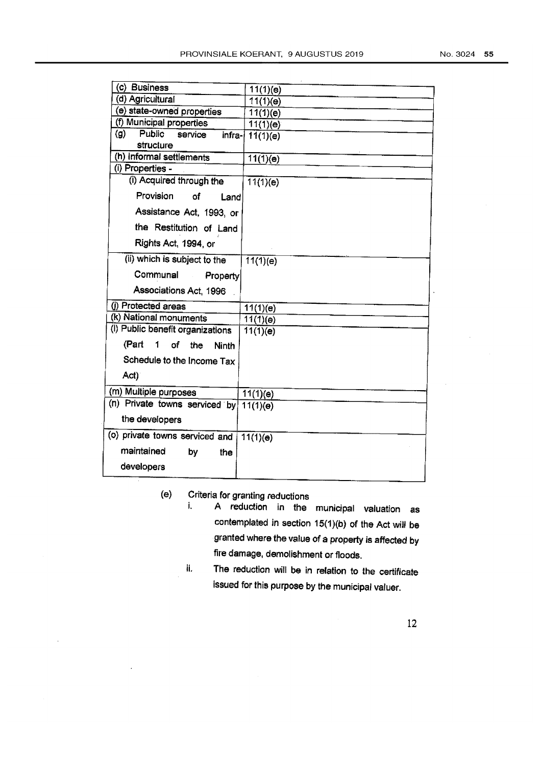| (c) Business                                        | 11(1)(e) |
|-----------------------------------------------------|----------|
| (d) Agricultural                                    | 11(1)(e) |
| (e) state-owned properties                          | 11(1)(e) |
| (f) Municipal properties                            | 11(1)(e) |
| <b>Public</b><br>(g)<br>service<br>infra-           | 11(1)(e) |
| structure                                           |          |
| (h) Informal settlements                            | 11(1)(e) |
| (i) Properties -                                    |          |
| (i) Acquired through the                            | 11(1)(e) |
| Provision<br>οf<br>Land                             |          |
| Assistance Act, 1993, or                            |          |
| the Restitution of Land                             |          |
| Rights Act, 1994, or                                |          |
| (ii) which is subject to the                        | 11(1)(e) |
| Communal<br>Property<br>$\sim 10^{11}$ km s $^{-1}$ |          |
| Associations Act, 1996                              |          |
| (j) Protected areas                                 | 11(1)(e) |
| (k) National monuments                              | 11(1)(e) |
| (I) Public benefit organizations                    | 11(1)(e) |
| (Part<br>1<br>of .<br>the<br><b>Ninth</b>           |          |
| Schedule to the Income Tax                          |          |
| Act)                                                |          |
| (m) Multiple purposes                               | 11(1)(e) |
| Private towns serviced by<br>(n)                    | 11(1)(e) |
| the developers                                      |          |
| (o) private towns serviced and                      | 11(1)(e) |
| maintained<br>by<br>the                             |          |
| developers                                          |          |

(e) Criteria for granting reductions<br>i. A reduction in the

- A reduction in the municipal valuation as contemplated in section  $15(1)(b)$  of the Act will be granted where the value of a property is affected by fire damage. demolishment or floods.
- ii. The reduction will be in relation to the certificate issued for this purpose by the municipal valuer.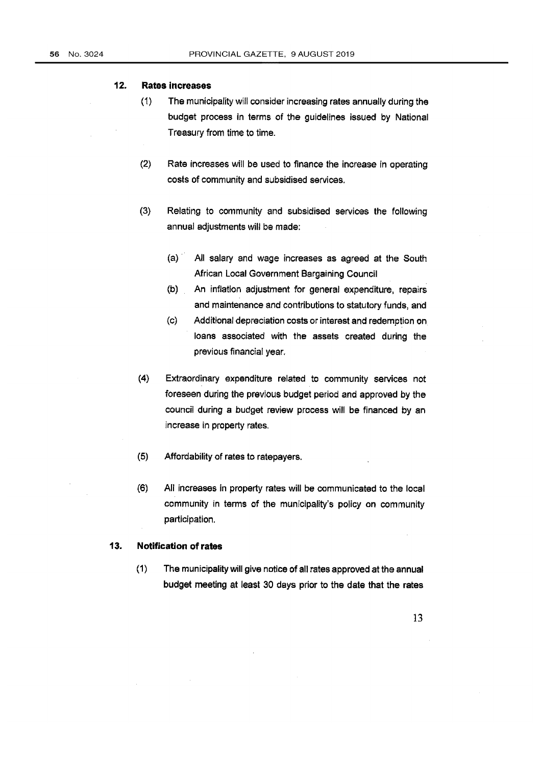#### 12. Rates increases

- (1) The municipality will consider increasing rates annually during the budget process in terms of the guidelines issued by National Treasury from time to time.
- (2) Rate increases will be used to finance the increase in operating costs of community and subsidised services.
- (3) Relating to community and subsidised services the following annual adjustments will be made:
	- (a) . All salary and wage increases as agreed at the South African Local Government Bargaining Council
	- (b) An inflation adjustment for general expenditure, repairs and maintenance and contributions to statutory funds, and
	- (c) Additional depreciation costs or interest and redemption on loans associated with the assets created during the previous financial year.
- (4) Extraordinary expenditure related to community services not foreseen during the previous budget period and approved by the council during a budget review process will be financed by an increase in property rates.
- (5) Affordability of rates to ratepayers.
- (6) All increases in property rates will be communicated to the local community in terms of the municipality's policy on community participation.

#### 13. Notification of rates

(1) The municipality will give notice of all rates approved at the annual budget meeting at least 30 days prior to the date that the rates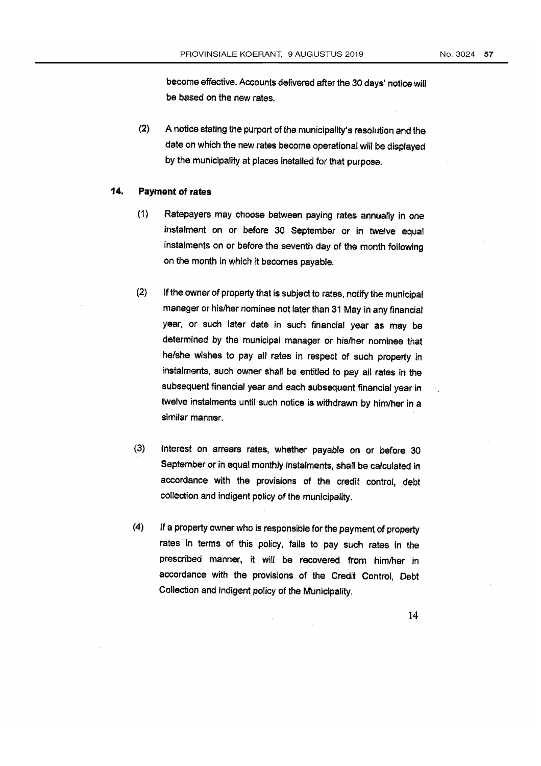become effective. Accounts delivered after the 30 days' notice will be based on the new rates.

(2) A notice stating the purport of the municipality's resolution and the date on which the new rates become operational will be displayed by the municipality at places installed for that purpose.

#### **14. Payment of rates**

- (1) Ratepayers may choose between paying rates annually in one instalment on or before 30 September or in twelve equal instalments on or before the seventh day of the month following on the month in which it becomes payable.
- (2) If the owner of property that is subject to rates, notify the municipal manager or his/her nominee not later than 31 May in any financial year, or such later date in such financial year as may be determined by the municipal manager or hislher nominee that he/she wishes to pay all rates in respect of such property in instalments, such owner shall be entitled to pay all rates in the subsequent financial year and each subsequent financial year in twelve instalments until such notice is withdrawn by him/her in a similar manner.
- (3) Interest on arrears rates, whether payable on or before 30 September or in equal monthly instalments, shall be calculated in accordance with the provisions of the credit control, debt collection and indigent policy of the municipality.
- (4) If a property owner who is responsible for the payment of property rates in terms of this policy, fails to pay such rates in the prescribed manner, it will be recovered from him/her in accordance with the provisions of the Credit Control, Debt Collection and indigent policy of the Municipality.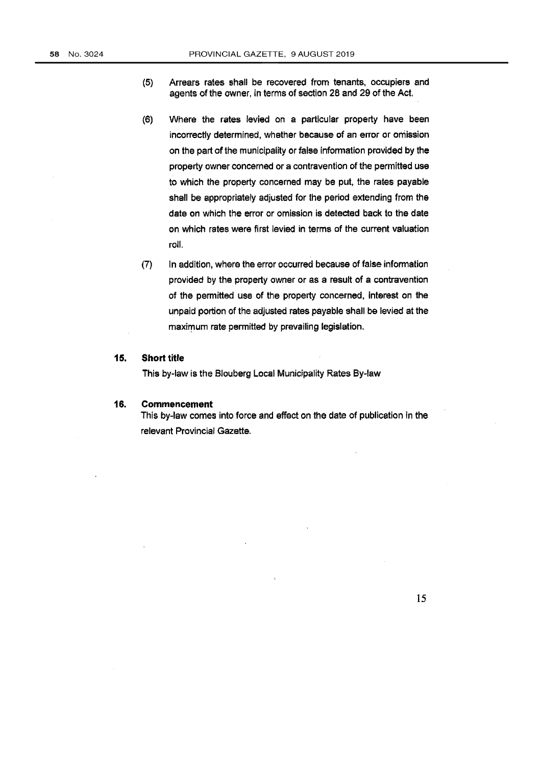- (5) Arrears rates shall be recovered from tenants, occupiers and agents of the owner, in terms of section 28 and 29 of the Act.
- (6) Where the rates levied on a particular property have been incorrectly determined, whether because of an error or oniission on the part of the municipality or false information provided by the property owner concerned or a contravention of the permitted use to which the property concerned may be pul, the rates payable shall be appropriately adjusted for the period extending from the date on which the error or omission is detected back to the date on which rates were first levied in terms of the current valuation roll.
- (7) In addition, where the error occurred because of false information provided by the property owner or as a result of a contravention of the permitted use of the property concerned, interest on the unpaid portion of the adjusted rates payable shall be levied at the maximum rate permitted by prevailing legislation.

#### **15. Short title**

This by-law is the Blouberg Local Municipality Rates By-law

#### **16. Commencement**

This by-law comes into force and effect on the date of publication in the relevant Provincial Gazette.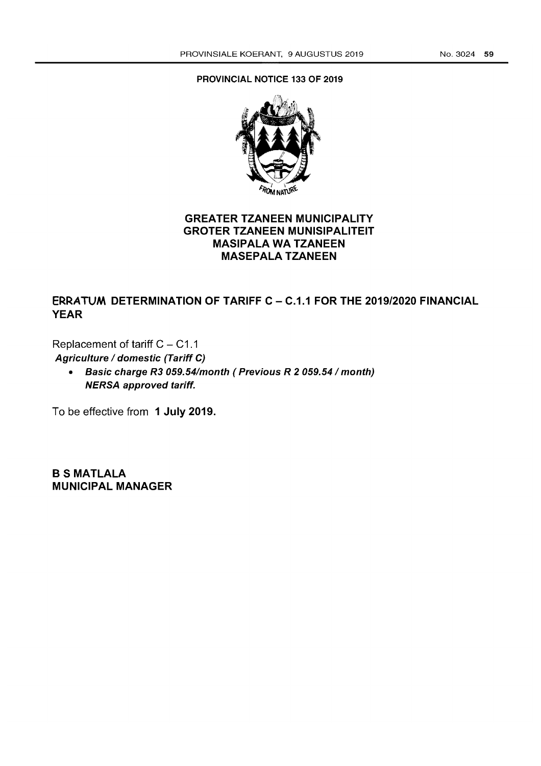#### PROVINCIAL NOTICE 133 OF 2019



### GREATER TZANEEN MUNICIPALITY GROTER TZANEEN MUNISIPALITEIT MASIPALA WA TZANEEN MASEPALA TZANEEN

ERRATUM DETERMINATION OF TARIFF C - C.1.1 FOR THE 2019/2020 FINANCIAL YEAR

Replacement of tariff  $C - C1.1$ Agriculture / domestic (Tariff C)

• Basic charge R3 059.54/month ( Previous R 2 059.54 / month) NERSA approved tariff.

To be effective from 1 July 2019.

B 5 MATLALA MUNICIPAL MANAGER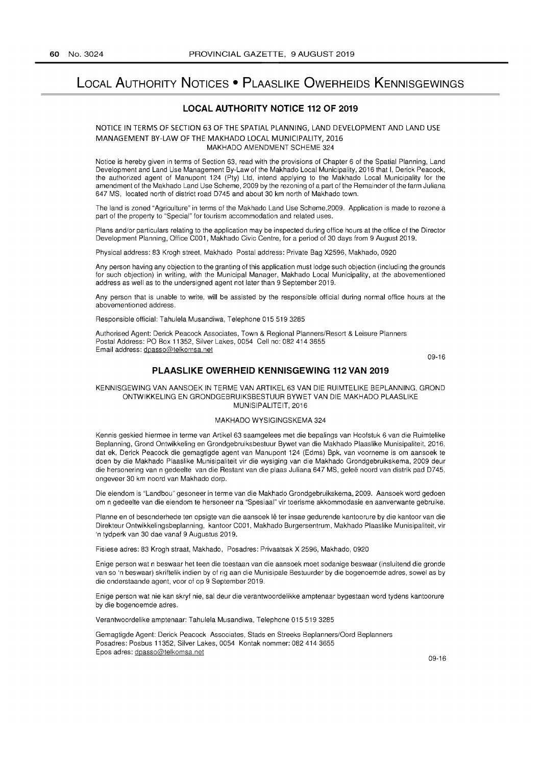### **LOCAL AUTHORITY NOTICES • PLAASLIKE OWERHEIDS KENNISGEWINGS**

#### **LOCAL AUTHORITY NOTICE 112 OF 2019**

#### NOTICE **IN** TERMS OF SECTION 63 OF THE SPATIAL PLANNING, LAND DEVELOPMENT AND LAND USE MANAGEMENT BY-LAW OF THE MAKHADO LOCAL MUNICIPALITY, 2016 MAKHADO AMENDMENT SCHEME 324

Notice is hereby given in terms of Section 63, read with the provisions of Chapter 6 of the Spatial Planning, Land Development and Land Use Management By-Law of the Makhado Local Municipality, 2016 that I, Derick Peacock, the authorized agent of Manupont 124 (Pty) Ltd, intend applying to the Makhado Local Municipality for the amendment of the Makhado Land Use Scheme, 2009 by the rezoning of a part of the Remainder of the farm Juliana 647 MS, located north of district road 0745 and about 30 km north of Makhado town.

The land is zoned "Agriculture" in terms of the Makhado Land Use Scheme,2009. Application is made to rezone a part of the property to "Special" for tourism accommodation and related uses.

Plans and/or particulars relating to the application may be inspected during office hours at the office of the Director Development Planning, Office C001, Makhado Civic Centre, for a period of 30 days from 9 August 2019.

Physical address: 83 Krogh street, Makhado Postal address: Private Bag X2596, Makhado, 0920

Any person having any objection to the granting of this application must lodge such objection (including the grounds for such objection) in writing, with the Municipal Manager, Makhado Local Municipality, at the abovementioned address as well as to the undersigned agent not later than 9 September 2019.

Any person that is unable to write, will be assisted by the responsible official during normal office hours at the abovementioned address.

Responsible official: Tahulela Musandiwa, Telephone 015 519 3285

Authorised Agent: Derick Peacock Associates, Town & Regional Planners/Resort & Leisure Planners Postal Address: PO Box 11352, Silver Lakes, 0054 Cell no: 082 414 3655 Email address:dpasso@telkomsa.net

09-16

#### **PLAASLIKE OWERHEID KENNISGEWING 112 VAN 2019**

#### KENNISGEWING VAN AANSOEK IN TERME VAN ARTIKEL 63 VAN DIE RUIMTELIKE BEPLANNING, GROND ONTWIKKELING EN GRONDGEBRUIKSBESTUUR BYWET VAN DIE MAKHADO PLAASLIKE MUNISIPALITEIT,2016

#### MAKHADO WYSIGINGSKEMA 324

Kennis geskied hiermee in terme van Artikel 63 saamgelees met die bepalings van Hoofstuk 6 van die Ruimtelike Beplanning, Grond Ontwikkeling en Grondgebruiksbestuur Bywet van die Makhado Plaaslike Munisipaliteit, 2016, dat ek, Derick Peacock die gemagtigde agent van Manupont 124 (Edms) Bpk, van voorneme is om aansoek te doen by die Makhado Plaaslike Munisipaliteit vir die wysiging van die Makhado Grondgebruikskema, 2009 deur die hersonering van n gedeelte van die Restant van die plaas Juliana 647 MS, gelee noord van distrik pad 0745, ongeveer 30 km noord van Makhado dorp.

Die eiendom is "Landbou" gesoneer in terme van die Makhado Grondgebruikskema, 2009. Aansoek word gedoen om n gedeelte van die eiendom te hersoneer na "Spesiaal" vir toerisme akkommodasie en aanverwante gebruike.

Planne en of besonderhede ten opsigte van die aansoek lê ter insae gedurende kantoorure by die kantoor van die Direkteur Ontwikkelingsbeplanning, kantoor C001, Makhado Burgersentrum, Makhado Plaaslike Munisipaliteit, vir 'n tydperk van 30 dae vanaf 9 Augustus 2019.

Fisiese adres: 83 Krogh straat, Makhado, Posadres: Privaatsak X 2596, Makhado, 0920

Enige person wat n beswaar het teen die toestaan van die aansoek moet sodanige beswaar (insluitend die gronde van so 'n beswaar) skriftelik indien by of rig aan die Munisipale Bestuurder by die bogenoemde adres, sowel as by die onderstaande agent, voor of op 9 September 2019.

Enige person wat nie kan skryf nie, sal deur die verantwoordelikke amptenaar bygestaan word tydens kantoorure by die bogenoemde adres.

Verantwoordelike amptenaar: Tahulela Musandiwa, Telephone 015 519 3285

Gemagtigde Agent: Derick Peacock Associates, Stads en Streeks Beplanners/Oord Beplanners Posadres: Posbus 11352, Silver Lakes, 0054 Kontak nommer: 082 414 3655 Epos adres: dpasso@telkomsa.net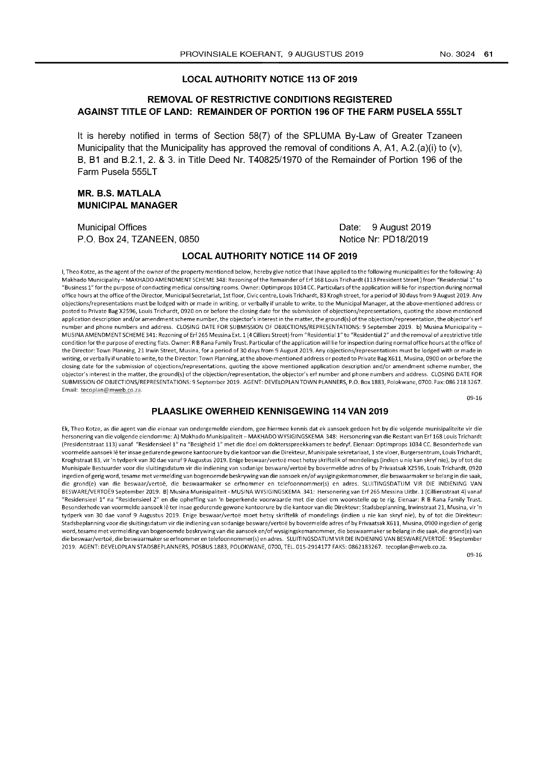#### LOCAL AUTHORITY NOTICE 113 OF 2019

#### REMOVAL OF RESTRICTIVE CONDITIONS REGISTERED AGAINST TITLE OF LAND: REMAINDER OF PORTION 196 OF THE FARM PUSELA 555LT

It is hereby notified in terms of Section 58(7) of the SPLUMA By-Law of Greater Tzaneen Municipality that the Municipality has approved the removal of conditions A, A1, A.2.(a)(i) to (v), B, B1 and B.2.1, 2. & 3. in Title Deed Nr. T40825/1970 of the Remainder of Portion 196 of the Farm Pusela 555LT

#### MR. B.S. MATLALA MUNICIPAL MANAGER

Municipal Offices P.O. Box 24, TZANEEN, 0850 Date: 9 August 2019 Notice Nr: PD18/2019

#### LOCAL AUTHORITY NOTICE 114 OF 2019

I, Theo Kotze, as the agent of the owner of the property mentioned below, hereby give notice that I have applied to the following municipalities for the following: A) Makhado Municipality- MAKHADO AMENDMENT SCHEME 348: Rezoning of the Remainder of Erf 168 Louis Trichardt (113 President Street) from "Residential 1" to "Business 1" forthe purpose of conducting medical consulting rooms. Owner: Optimprops 1034 Cc. Particulars of the application will lie for inspection during normal office hours at the office of the Director, Municipal Secretariat, 1st floor, Civic centre, Louis Trichardt, 83 Krogh street, for a period of 30 days from 9 August 2019. Any objections/representations must be lodged with or made in writing, or verbally if unable to write, to the Municipal Manager, at the above-mentioned address or posted to Private Bag X2596, Louis Trichardt, 0920 on or before the closing date for the submission of objections/representations, quoting the above mentioned application description and/or amendment scheme number, the objector's interest in the matter, the ground(s) of the objection/representation, the objector's erf number and phone numbers and address. CLOSING DATE FOR SUBMISSION OF OBJECTIONS/REPRESENTATIONS: 9 September 2019. b) Musina Municipality-MUSINA AMENDMENT SCHEME 341: Rezoning of Erf 265 Messina Ext. 1 (4 Cilliers Street) from "Residential 1" to "Residential 2" and the removal of a restrictive title condition for the purpose of erecting flats. Owner: R B Rana Family Trust. Particular ofthe application will lie for inspection during normal office hours at the office of the Director: Town Planning, 21 Irwin Street, Musina, for a period of 30 days from 9 August 2019. Any objections/representations must be lodged with or made in writing, or verbally if unable to write, to the Director: Town Planning, atthe above-mentioned address or posted to Private Bag X611, Musina, 0900 on or before the closing date for the submission of objections/representations, quoting the above mentioned application description and/or amendment scheme number, the objector's interest in the matter, the ground(s) of the objection/representation, the objector's erf number and phone numbers and address. CLOSING DATE FOR SUBMISSION OF OBJECTIONS/REPRESENTATIONS: 9 September 2019. AGENT: DEVELOPLAN TOWN PLANNERS, P.O. Box 1883, Polokwane, 0700. Fax: 086 218 3267. Email: tecoplan@mweb.co.za.

#### PLAASLIKE OWERHEID KENNISGEWING 114 VAN 2019

Ek, Thea Kotze, as die agent van die eienaar van ondergemelde eiendom, gee hiermee kennis dat ek aansoek gedoen het by die volgende munisipaliteite vir die hersonering van die volgende eiendomme: A) Makhado Munisipaliteit- MAKHADO WYSIGINGSKEMA 348: Hersoneringvan die Restant van Erf 168 Louis Trichardt (Presidentstraat 113) vanaf "Residensieell" na "Besigheid 1" met die doel om doktersspreekkamers te bedryf. Eienaar: Optimprops 1034 Cc. Besonderhede van voormelde aansoek Ie ter insae gedurende gewone kantoorure by die kantoor van die Direkteur, Munisipale sekretariaat, 1 ste vloer, Burgersentrum, Louis Trichardt, Kroghstraat 83, vir 'n tydperk van 30 dae vanaf 9 Augustus 2019. Enige beswaar/vertoë moet hetsy skriftelik of mondelings (indien u nie kan skryf nie), by of tot die Munisipale Bestuurder voor die sluitingsdatum vir die indiening van sodanige besware/vertoe by bovermelde adres of by Privaatsak X2S96, Louis Trichardt, 0920 ingedien of gerig word, tesame met vermelding van bogenoemde beskrywing van die aansoek en/of wysigingskemanommer, die beswaarmaker se belang in die saak, die grond(e) van die beswaar/vertoe, die beswaarmaker se erfnommer en telefoonnommer(s) en adres. SLUITINGSDATUM VIR DIE INDIENING VAN BESWARE/VERTOE9 September 2019. B) Musina Munisipaliteit - MUSINA WYSIGINGSKEMA 341: Hersonering van Erf 265 Messina Uitbr. 1 (Cilliersstraat 4) vanaf "Residensieel 1" na "Residensieel 2" en die opheffing van 'n beperkende voorwaarde met die doel om woonstelle op te rig. Eienaar: R B Rana Family Trust. Besonderhede van voormelde aansoek lê ter insae gedurende gewone kantoorure by die kantoor van die Direkteur: Stadsbeplanning, Irwinstraat 21, Musina, vir 'n tydperk van 30 dae vanaf 9 Augustus 2019. Enige beswaar/vertoe moet hetsy skriftelik of mondelings (indien u nie kan skryf nie), by of tot die Direkteur: Stadsbeplanning voor die sluitingsdatum vir die indiening van sodanige besware/vertoë by bovermelde adres of by Privaatsak X611, Musina, 0900 ingedien of gerig word, tesame met vermelding van bogenoemde beskrywing van die aansoek en/of wysigingskemanommer, die beswaarmaker se belang in die saak, die grond(e) van die beswaar/vertoe, die beswaarmaker se erfnommer en telefoonnommer(s) en ad res. SLUITINGSDATUM VIR DIE INDIENING VAN BESWARE/VERTOE: 9 September 2019. AGENT: DEVELOPLAN STADSBEPLANNERS, POSBUS 1883, POLOKWANE, 0700, TEL. 015-2914177 FAKS: 0862183267. tecoplan@mweb.co.za.

09-16